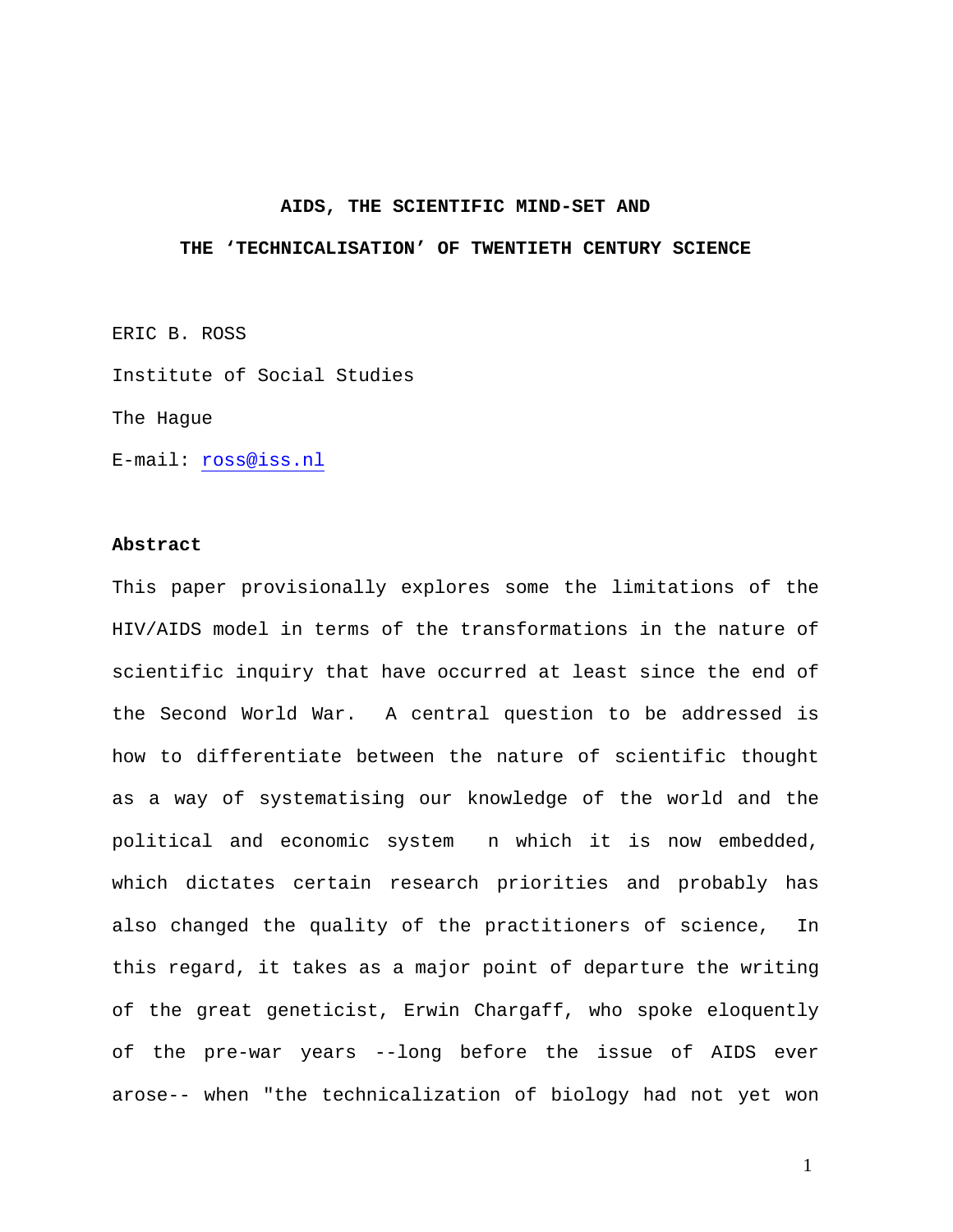#### **AIDS, THE SCIENTIFIC MIND-SET AND**

# **THE 'TECHNICALISATION' OF TWENTIETH CENTURY SCIENCE**

ERIC B. ROSS

Institute of Social Studies

The Hague

E-mail: [ross@iss.nl](mailto:ross@iss.nl)

#### **Abstract**

This paper provisionally explores some the limitations of the HIV/AIDS model in terms of the transformations in the nature of scientific inquiry that have occurred at least since the end of the Second World War. A central question to be addressed is how to differentiate between the nature of scientific thought as a way of systematising our knowledge of the world and the political and economic system n which it is now embedded, which dictates certain research priorities and probably has also changed the quality of the practitioners of science, In this regard, it takes as a major point of departure the writing of the great geneticist, Erwin Chargaff, who spoke eloquently of the pre-war years --long before the issue of AIDS ever arose-- when "the technicalization of biology had not yet won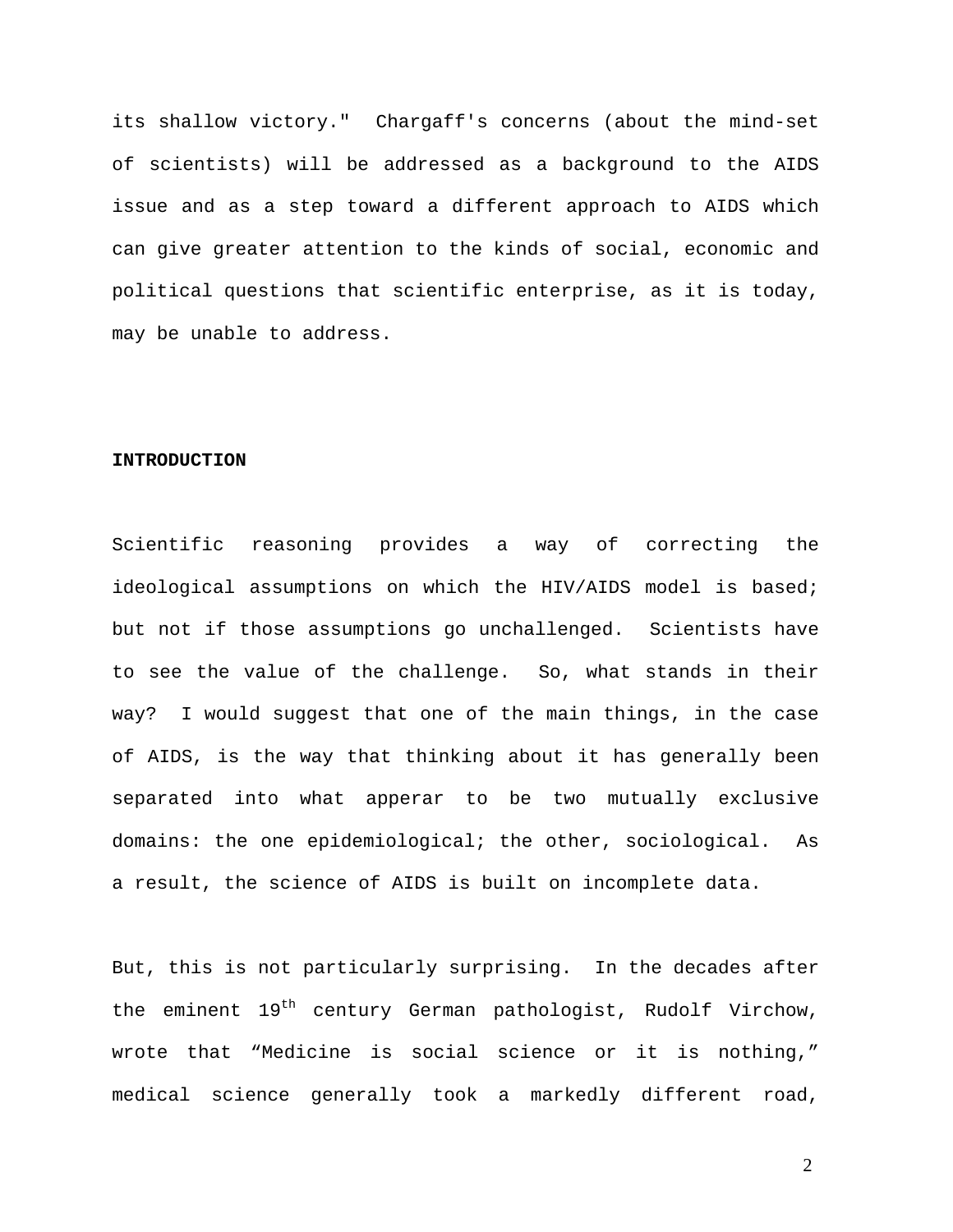its shallow victory." Chargaff's concerns (about the mind-set of scientists) will be addressed as a background to the AIDS issue and as a step toward a different approach to AIDS which can give greater attention to the kinds of social, economic and political questions that scientific enterprise, as it is today, may be unable to address.

#### **INTRODUCTION**

Scientific reasoning provides a way of correcting the ideological assumptions on which the HIV/AIDS model is based; but not if those assumptions go unchallenged. Scientists have to see the value of the challenge. So, what stands in their way? I would suggest that one of the main things, in the case of AIDS, is the way that thinking about it has generally been separated into what apperar to be two mutually exclusive domains: the one epidemiological; the other, sociological. As a result, the science of AIDS is built on incomplete data.

But, this is not particularly surprising. In the decades after the eminent  $19^{th}$  century German pathologist, Rudolf Virchow, wrote that "Medicine is social science or it is nothing," medical science generally took a markedly different road,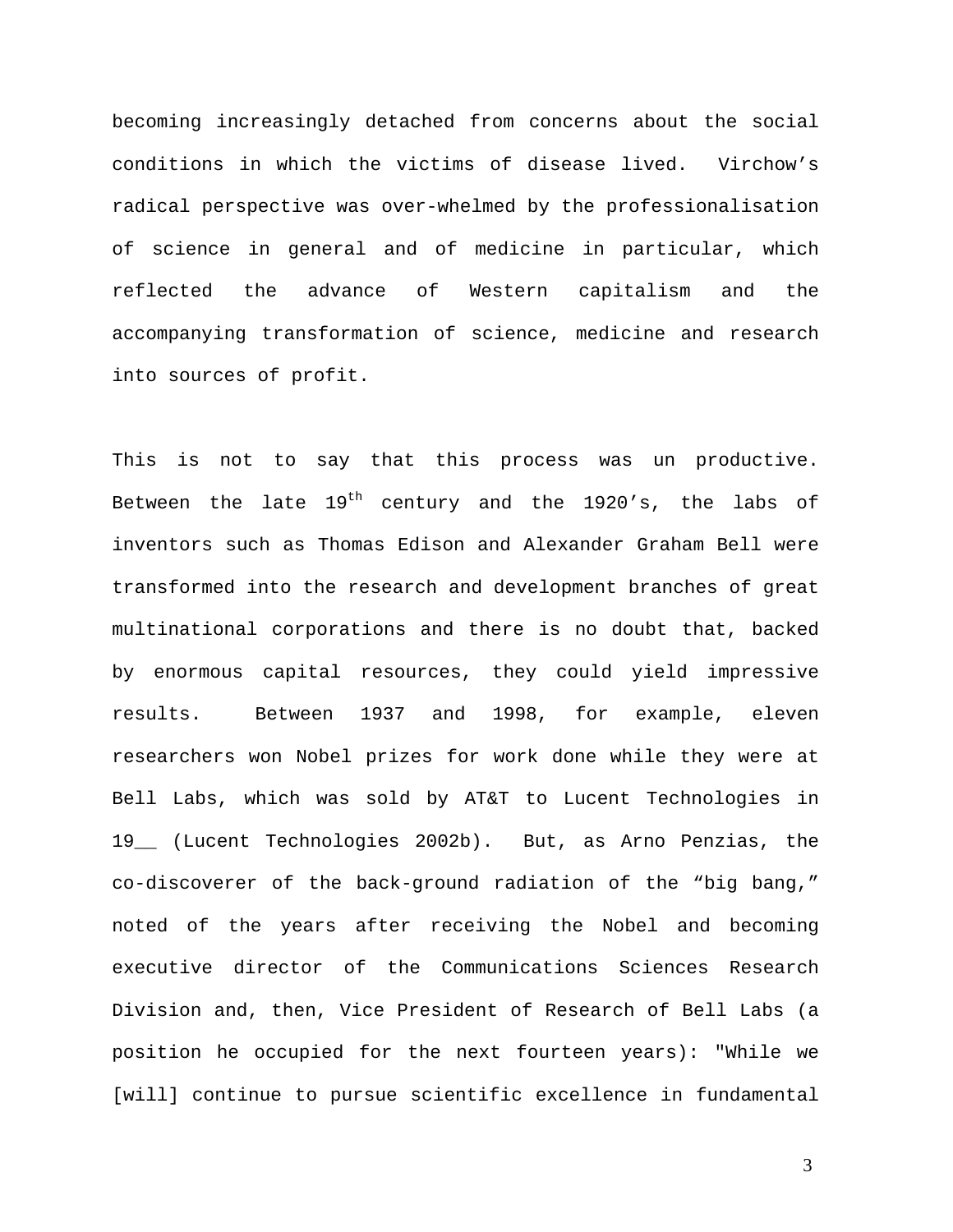becoming increasingly detached from concerns about the social conditions in which the victims of disease lived. Virchow's radical perspective was over-whelmed by the professionalisation of science in general and of medicine in particular, which reflected the advance of Western capitalism and the accompanying transformation of science, medicine and research into sources of profit.

This is not to say that this process was un productive. Between the late  $19^{th}$  century and the 1920's, the labs of inventors such as Thomas Edison and Alexander Graham Bell were transformed into the research and development branches of great multinational corporations and there is no doubt that, backed by enormous capital resources, they could yield impressive results. Between 1937 and 1998, for example, eleven researchers won Nobel prizes for work done while they were at Bell Labs, which was sold by AT&T to Lucent Technologies in 19\_\_ (Lucent Technologies 2002b). But, as Arno Penzias, the co-discoverer of the back-ground radiation of the "big bang," noted of the years after receiving the Nobel and becoming executive director of the Communications Sciences Research Division and, then, Vice President of Research of Bell Labs (a position he occupied for the next fourteen years): "While we [will] continue to pursue scientific excellence in fundamental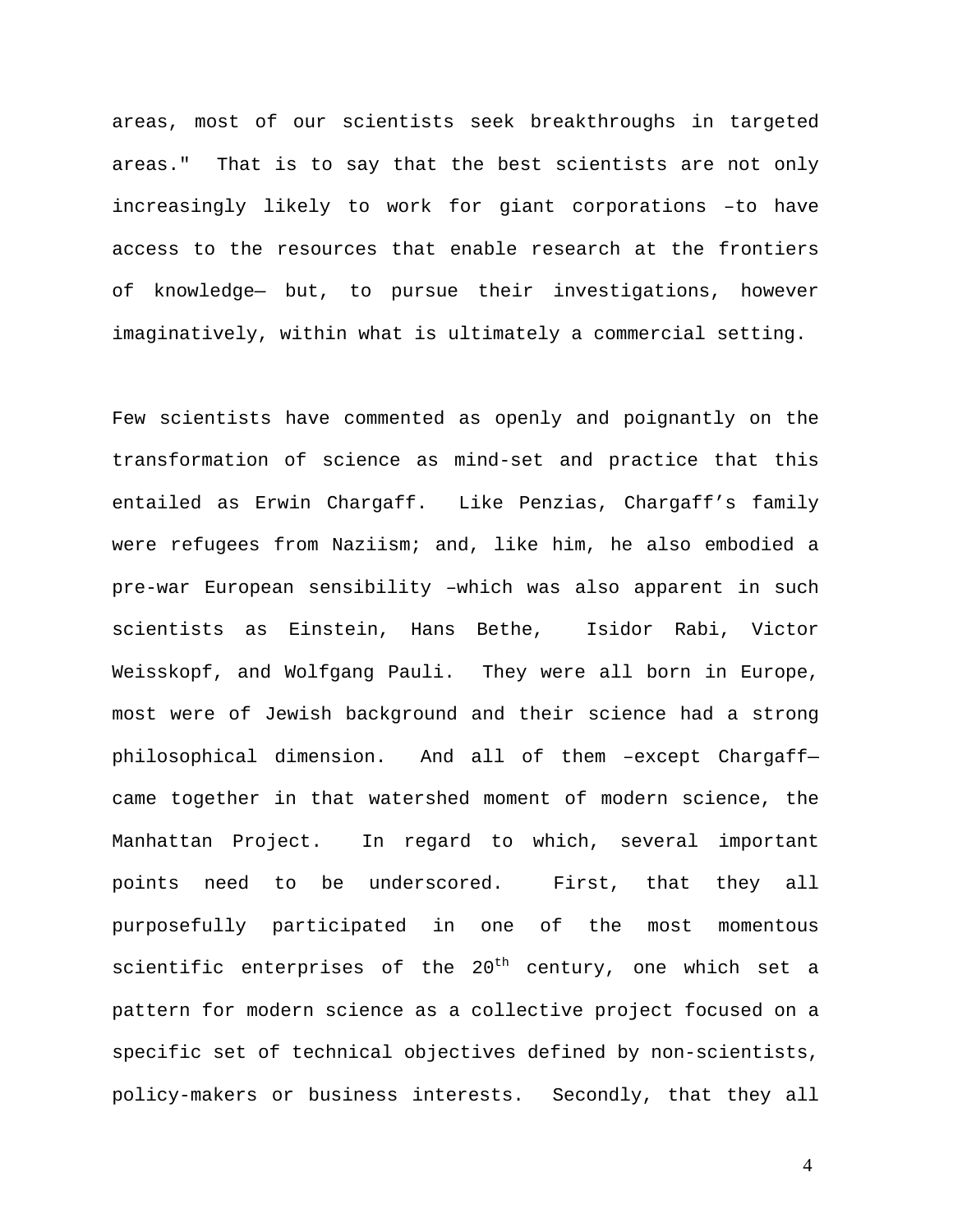areas, most of our scientists seek breakthroughs in targeted areas." That is to say that the best scientists are not only increasingly likely to work for giant corporations –to have access to the resources that enable research at the frontiers of knowledge— but, to pursue their investigations, however imaginatively, within what is ultimately a commercial setting.

Few scientists have commented as openly and poignantly on the transformation of science as mind-set and practice that this entailed as Erwin Chargaff. Like Penzias, Chargaff's family were refugees from Naziism; and, like him, he also embodied a pre-war European sensibility –which was also apparent in such scientists as Einstein, Hans Bethe, Isidor Rabi, Victor Weisskopf, and Wolfgang Pauli. They were all born in Europe, most were of Jewish background and their science had a strong philosophical dimension. And all of them –except Chargaff came together in that watershed moment of modern science, the Manhattan Project. In regard to which, several important points need to be underscored. First, that they all purposefully participated in one of the most momentous scientific enterprises of the  $20<sup>th</sup>$  century, one which set a pattern for modern science as a collective project focused on a specific set of technical objectives defined by non-scientists, policy-makers or business interests. Secondly, that they all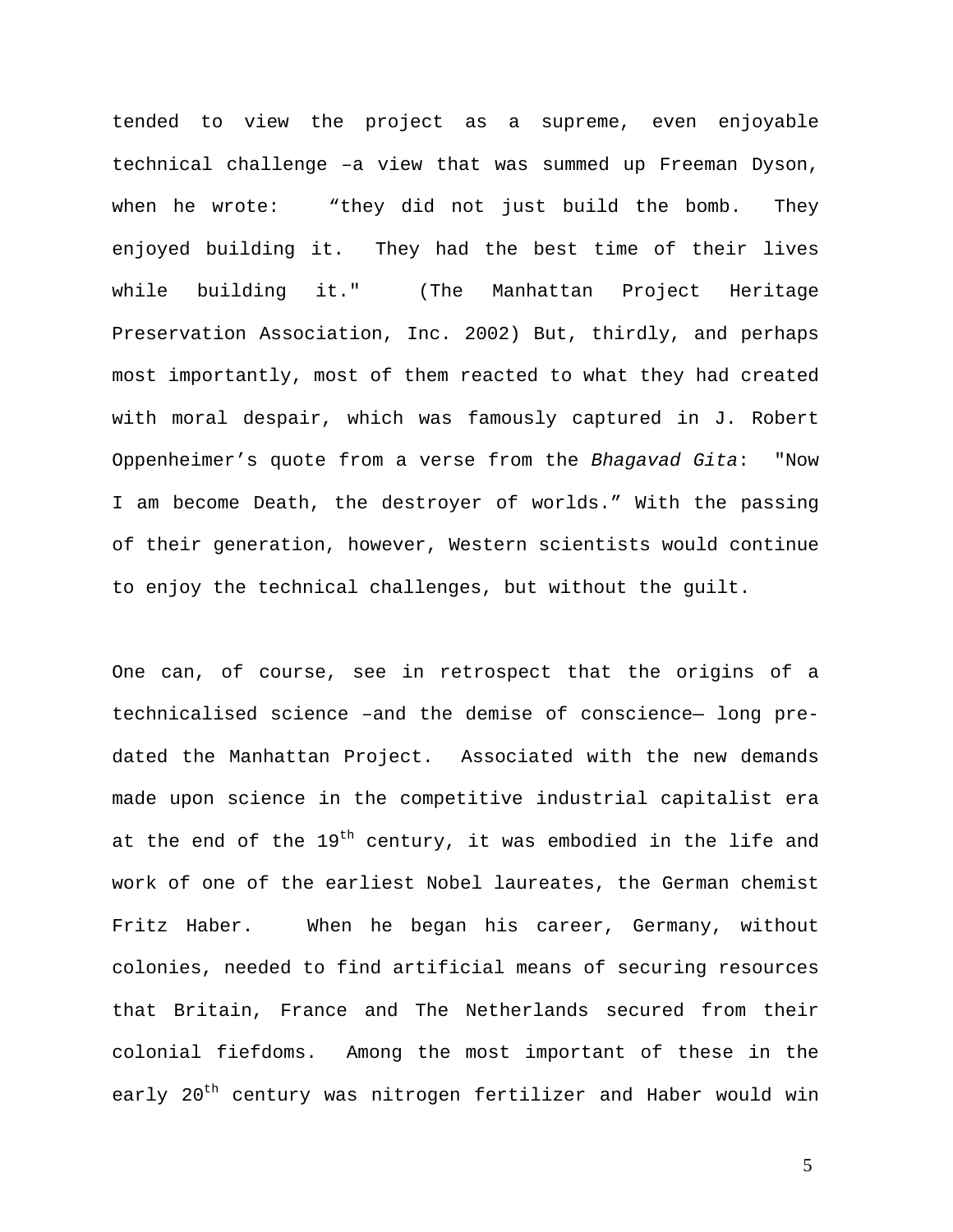tended to view the project as a supreme, even enjoyable technical challenge –a view that was summed up Freeman Dyson, when he wrote: "they did not just build the bomb. They enjoyed building it. They had the best time of their lives while building it." (The Manhattan Project Heritage Preservation Association, Inc. 2002) But, thirdly, and perhaps most importantly, most of them reacted to what they had created with moral despair, which was famously captured in J. Robert Oppenheimer's quote from a verse from the *Bhagavad Gita*: "Now I am become Death, the destroyer of worlds." With the passing of their generation, however, Western scientists would continue to enjoy the technical challenges, but without the guilt.

One can, of course, see in retrospect that the origins of a technicalised science –and the demise of conscience— long predated the Manhattan Project. Associated with the new demands made upon science in the competitive industrial capitalist era at the end of the  $19<sup>th</sup>$  century, it was embodied in the life and work of one of the earliest Nobel laureates, the German chemist Fritz Haber. When he began his career, Germany, without colonies, needed to find artificial means of securing resources that Britain, France and The Netherlands secured from their colonial fiefdoms. Among the most important of these in the early 20<sup>th</sup> century was nitrogen fertilizer and Haber would win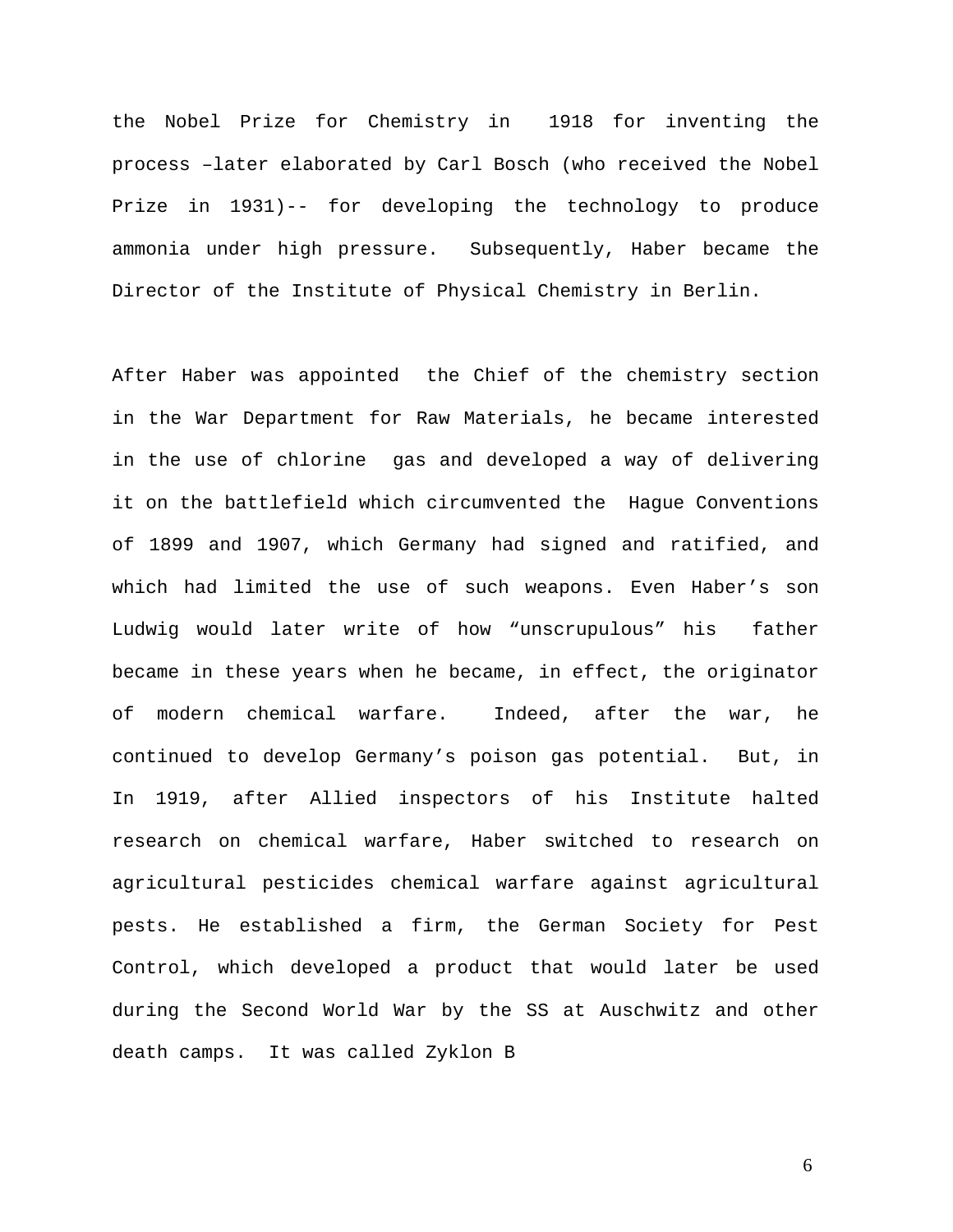the Nobel Prize for Chemistry in 1918 for inventing the process –later elaborated by Carl Bosch (who received the Nobel Prize in 1931)-- for developing the technology to produce ammonia under high pressure. Subsequently, Haber became the Director of the Institute of Physical Chemistry in Berlin.

After Haber was appointed the Chief of the chemistry section in the War Department for Raw Materials, he became interested in the use of chlorine gas and developed a way of delivering it on the battlefield which circumvented the Hague Conventions of 1899 and 1907, which Germany had signed and ratified, and which had limited the use of such weapons. Even Haber's son Ludwig would later write of how "unscrupulous" his father became in these years when he became, in effect, the originator of modern chemical warfare. Indeed, after the war, he continued to develop Germany's poison gas potential. But, in In 1919, after Allied inspectors of his Institute halted research on chemical warfare, Haber switched to research on agricultural pesticides chemical warfare against agricultural pests. He established a firm, the German Society for Pest Control, which developed a product that would later be used during the Second World War by the SS at Auschwitz and other death camps. It was called Zyklon B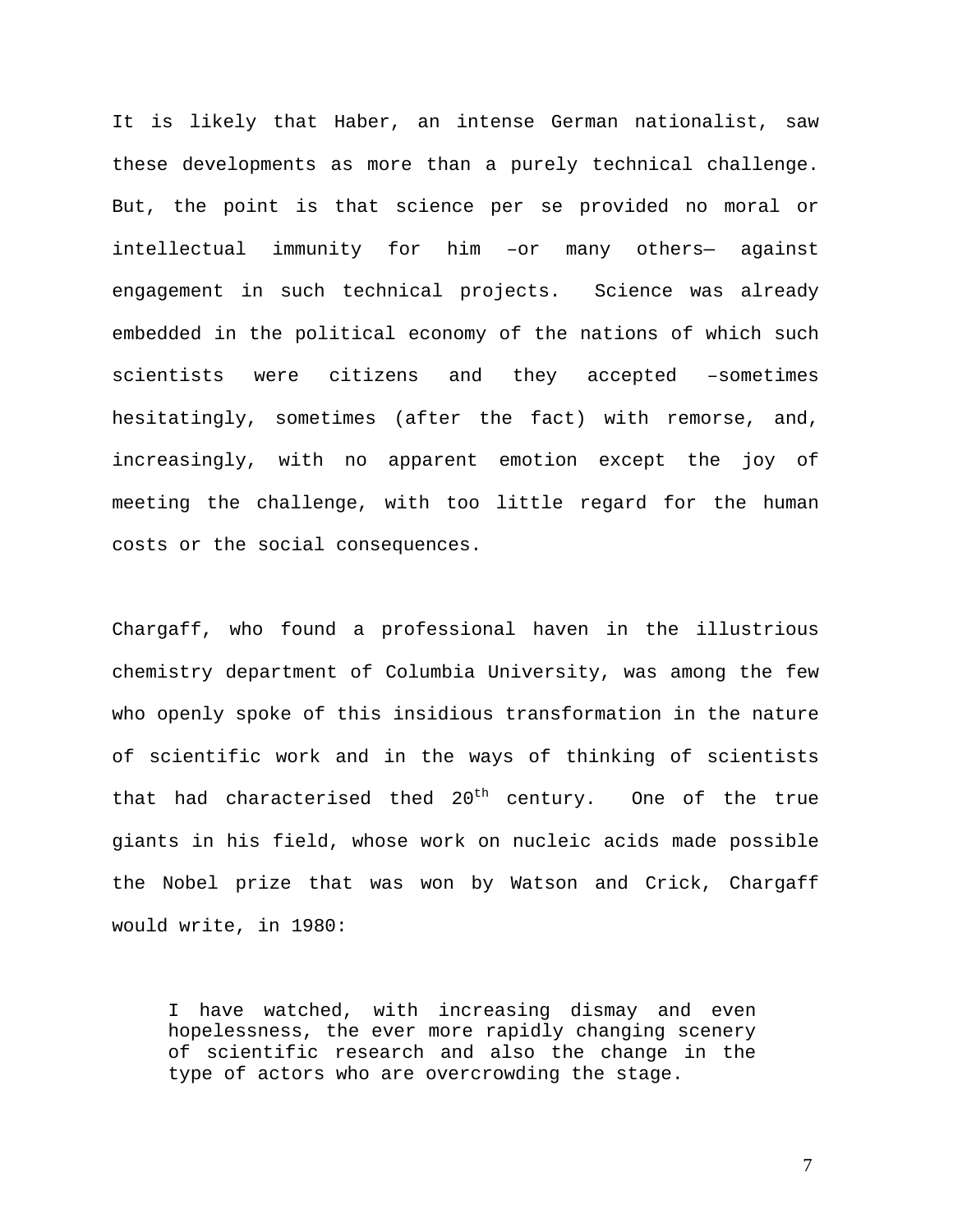It is likely that Haber, an intense German nationalist, saw these developments as more than a purely technical challenge. But, the point is that science per se provided no moral or intellectual immunity for him –or many others— against engagement in such technical projects. Science was already embedded in the political economy of the nations of which such scientists were citizens and they accepted –sometimes hesitatingly, sometimes (after the fact) with remorse, and, increasingly, with no apparent emotion except the joy of meeting the challenge, with too little regard for the human costs or the social consequences.

Chargaff, who found a professional haven in the illustrious chemistry department of Columbia University, was among the few who openly spoke of this insidious transformation in the nature of scientific work and in the ways of thinking of scientists that had characterised thed  $20^{th}$  century. One of the true giants in his field, whose work on nucleic acids made possible the Nobel prize that was won by Watson and Crick, Chargaff would write, in 1980:

I have watched, with increasing dismay and even hopelessness, the ever more rapidly changing scenery of scientific research and also the change in the type of actors who are overcrowding the stage.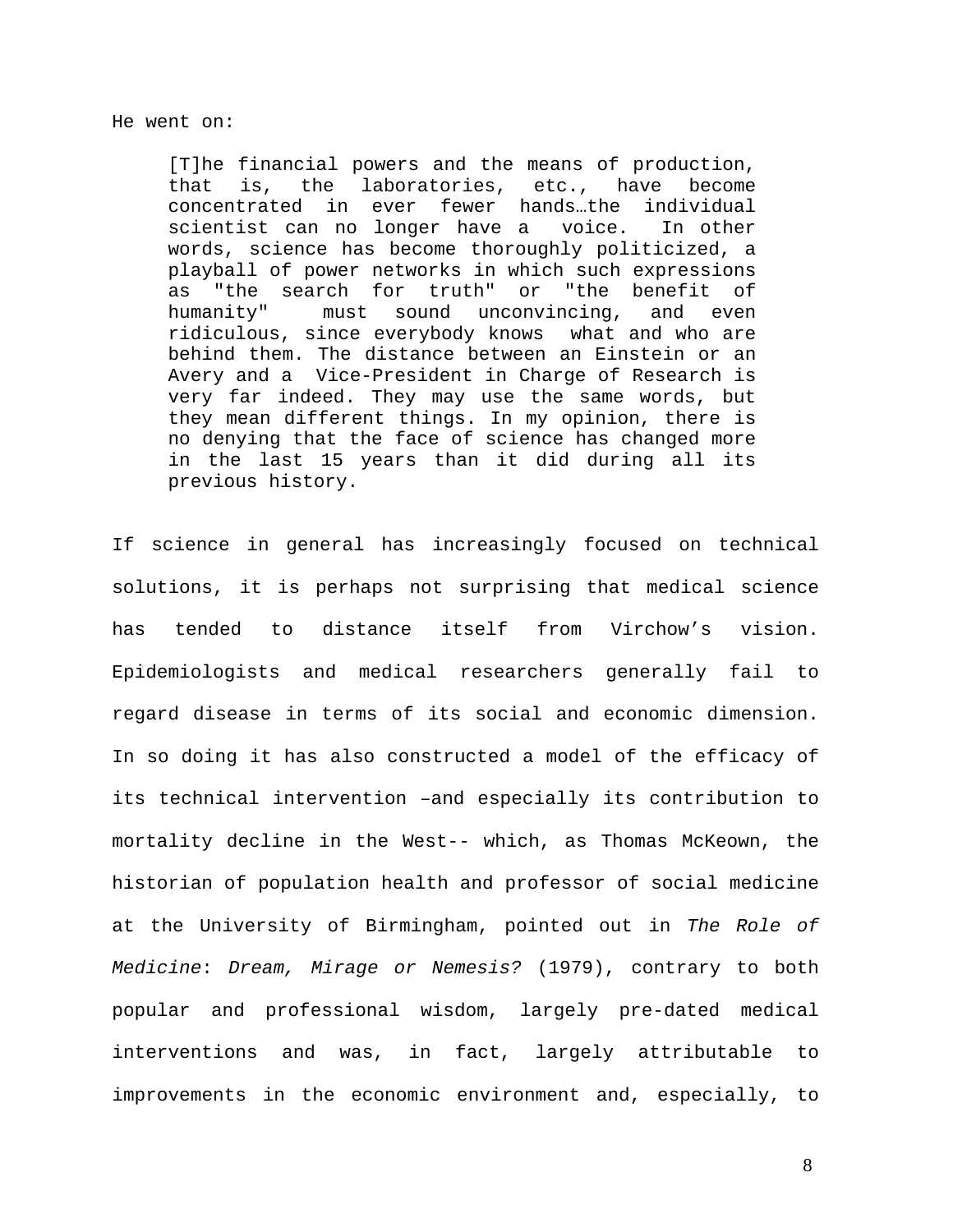#### He went on:

[T]he financial powers and the means of production, that is, the laboratories, etc., have become concentrated in ever fewer hands…the individual scientist can no longer have a voice. In other words, science has become thoroughly politicized, a playball of power networks in which such expressions as "the search for truth" or "the benefit of humanity" must sound unconvincing, and even ridiculous, since everybody knows what and who are behind them. The distance between an Einstein or an Avery and a Vice-President in Charge of Research is very far indeed. They may use the same words, but they mean different things. In my opinion, there is no denying that the face of science has changed more in the last 15 years than it did during all its previous history.

If science in general has increasingly focused on technical solutions, it is perhaps not surprising that medical science has tended to distance itself from Virchow's vision. Epidemiologists and medical researchers generally fail to regard disease in terms of its social and economic dimension. In so doing it has also constructed a model of the efficacy of its technical intervention –and especially its contribution to mortality decline in the West-- which, as Thomas McKeown, the historian of population health and professor of social medicine at the University of Birmingham, pointed out in *The Role of Medicine*: *Dream, Mirage or Nemesis?* (1979), contrary to both popular and professional wisdom, largely pre-dated medical interventions and was, in fact, largely attributable to improvements in the economic environment and, especially, to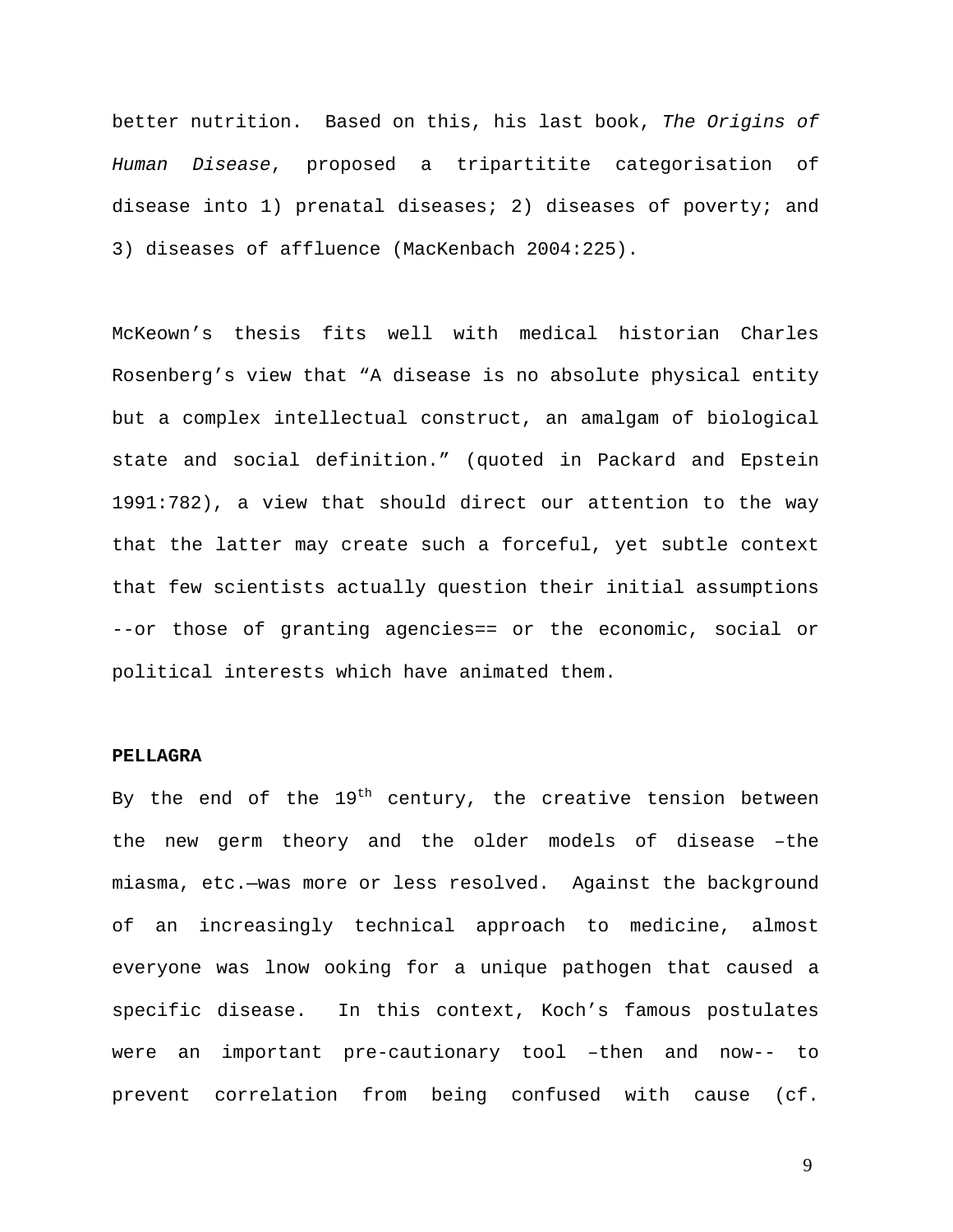better nutrition. Based on this, his last book, *The Origins of Human Disease*, proposed a tripartitite categorisation of disease into 1) prenatal diseases; 2) diseases of poverty; and 3) diseases of affluence (MacKenbach 2004:225).

McKeown's thesis fits well with medical historian Charles Rosenberg's view that "A disease is no absolute physical entity but a complex intellectual construct, an amalgam of biological state and social definition." (quoted in Packard and Epstein 1991:782), a view that should direct our attention to the way that the latter may create such a forceful, yet subtle context that few scientists actually question their initial assumptions --or those of granting agencies== or the economic, social or political interests which have animated them.

#### **PELLAGRA**

By the end of the  $19<sup>th</sup>$  century, the creative tension between the new germ theory and the older models of disease –the miasma, etc.—was more or less resolved. Against the background of an increasingly technical approach to medicine, almost everyone was lnow ooking for a unique pathogen that caused a specific disease. In this context, Koch's famous postulates were an important pre-cautionary tool –then and now-- to prevent correlation from being confused with cause (cf.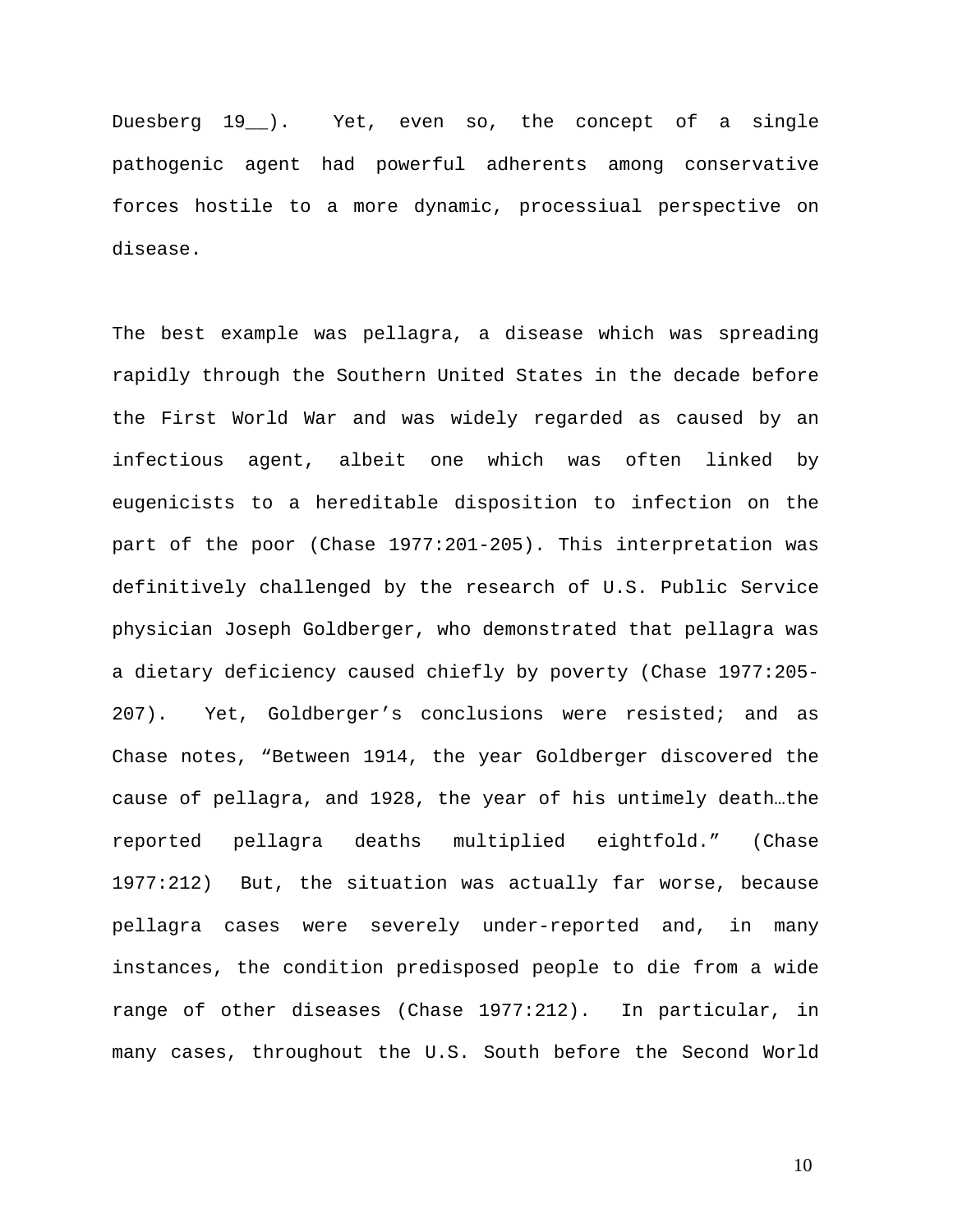Duesberg 19\_\_). Yet, even so, the concept of a single pathogenic agent had powerful adherents among conservative forces hostile to a more dynamic, processiual perspective on disease.

The best example was pellagra, a disease which was spreading rapidly through the Southern United States in the decade before the First World War and was widely regarded as caused by an infectious agent, albeit one which was often linked by eugenicists to a hereditable disposition to infection on the part of the poor (Chase 1977:201-205). This interpretation was definitively challenged by the research of U.S. Public Service physician Joseph Goldberger, who demonstrated that pellagra was a dietary deficiency caused chiefly by poverty (Chase 1977:205- 207). Yet, Goldberger's conclusions were resisted; and as Chase notes, "Between 1914, the year Goldberger discovered the cause of pellagra, and 1928, the year of his untimely death…the reported pellagra deaths multiplied eightfold." (Chase 1977:212) But, the situation was actually far worse, because pellagra cases were severely under-reported and, in many instances, the condition predisposed people to die from a wide range of other diseases (Chase 1977:212). In particular, in many cases, throughout the U.S. South before the Second World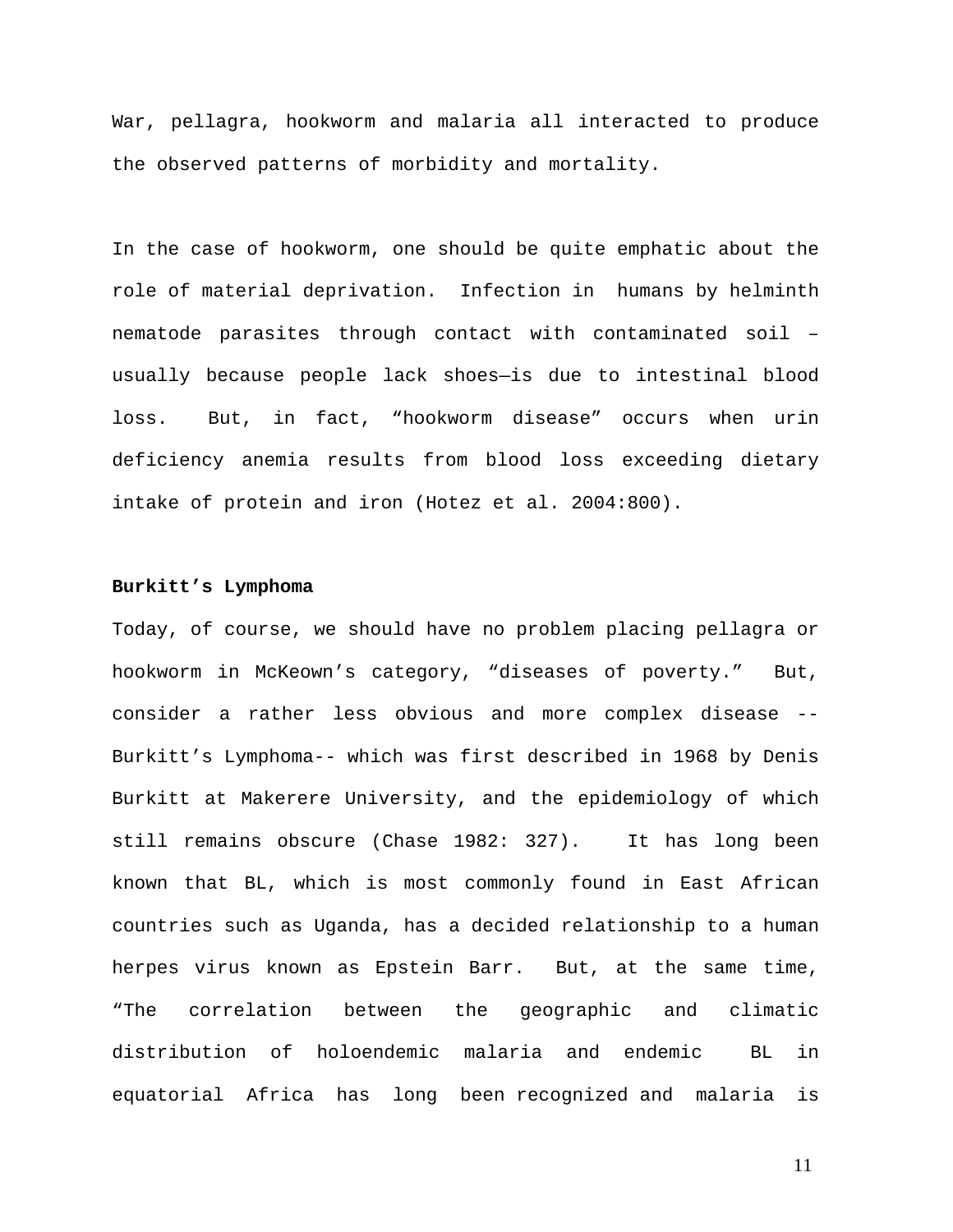War, pellagra, hookworm and malaria all interacted to produce the observed patterns of morbidity and mortality.

In the case of hookworm, one should be quite emphatic about the role of material deprivation. Infection in humans by helminth nematode parasites through contact with contaminated soil – usually because people lack shoes—is due to intestinal blood loss. But, in fact, "hookworm disease" occurs when urin deficiency anemia results from blood loss exceeding dietary intake of protein and iron (Hotez et al. 2004:800).

### **Burkitt's Lymphoma**

Today, of course, we should have no problem placing pellagra or hookworm in McKeown's category, "diseases of poverty." But, consider a rather less obvious and more complex disease -- Burkitt's Lymphoma-- which was first described in 1968 by Denis Burkitt at Makerere University, and the epidemiology of which still remains obscure (Chase 1982: 327). It has long been known that BL, which is most commonly found in East African countries such as Uganda, has a decided relationship to a human herpes virus known as Epstein Barr. But, at the same time, "The correlation between the geographic and climatic distribution of holoendemic malaria and endemic BL in equatorial Africa has long been recognized and malaria is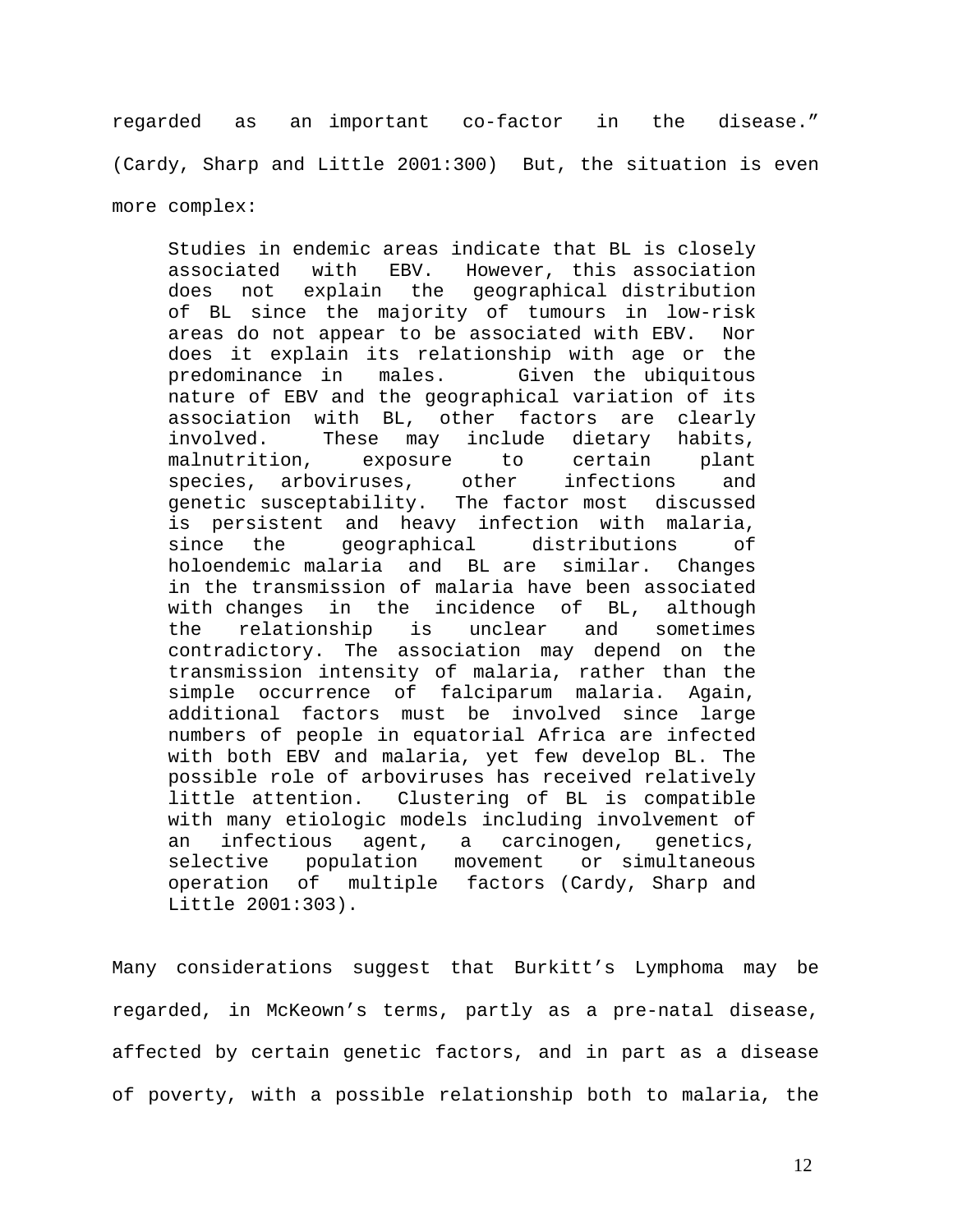regarded as an important co-factor in the disease." (Cardy, Sharp and Little 2001:300) But, the situation is even more complex:

Studies in endemic areas indicate that BL is closely associated with EBV. However, this association does not explain the geographical distribution of BL since the majority of tumours in low-risk areas do not appear to be associated with EBV. Nor does it explain its relationship with age or the predominance in males. Given the ubiquitous nature of EBV and the geographical variation of its association with BL, other factors are clearly involved. These may include dietary habits, malnutrition, exposure to certain plant species, arboviruses, other infections and genetic susceptability. The factor most discussed is persistent and heavy infection with malaria, since the geographical distributions of holoendemic malaria and BL are similar. Changes in the transmission of malaria have been associated with changes in the incidence of BL, although the relationship is unclear and sometimes contradictory. The association may depend on the transmission intensity of malaria, rather than the simple occurrence of falciparum malaria. Again, additional factors must be involved since large numbers of people in equatorial Africa are infected with both EBV and malaria, yet few develop BL. The possible role of arboviruses has received relatively little attention. Clustering of BL is compatible with many etiologic models including involvement of an infectious agent, a carcinogen, genetics, selective population movement or simultaneous operation of multiple factors (Cardy, Sharp and Little 2001:303).

Many considerations suggest that Burkitt's Lymphoma may be regarded, in McKeown's terms, partly as a pre-natal disease, affected by certain genetic factors, and in part as a disease of poverty, with a possible relationship both to malaria, the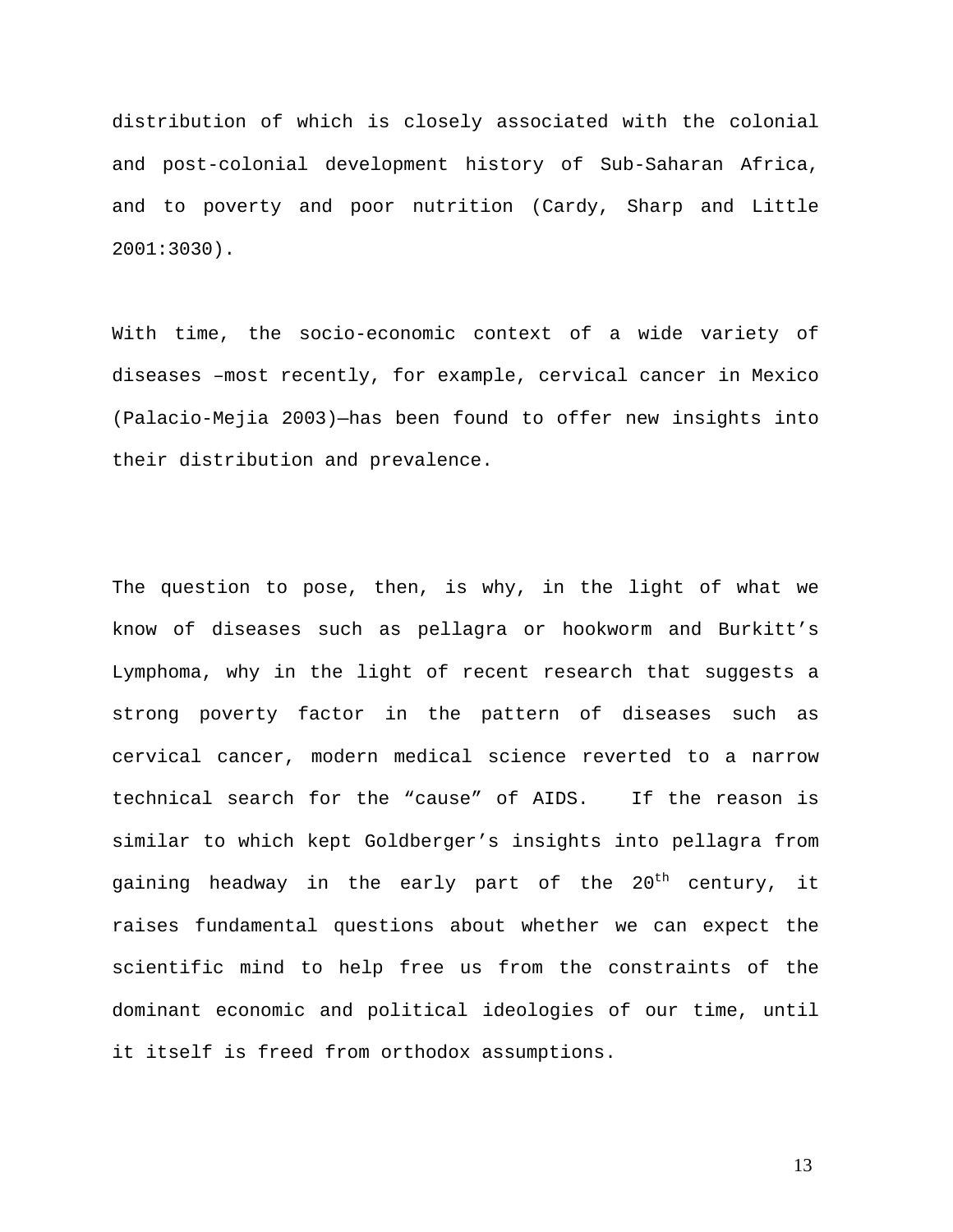distribution of which is closely associated with the colonial and post-colonial development history of Sub-Saharan Africa, and to poverty and poor nutrition (Cardy, Sharp and Little 2001:3030).

With time, the socio-economic context of a wide variety of diseases –most recently, for example, cervical cancer in Mexico (Palacio-Mejia 2003)—has been found to offer new insights into their distribution and prevalence.

The question to pose, then, is why, in the light of what we know of diseases such as pellagra or hookworm and Burkitt's Lymphoma, why in the light of recent research that suggests a strong poverty factor in the pattern of diseases such as cervical cancer, modern medical science reverted to a narrow technical search for the "cause" of AIDS. If the reason is similar to which kept Goldberger's insights into pellagra from gaining headway in the early part of the 20<sup>th</sup> century, it raises fundamental questions about whether we can expect the scientific mind to help free us from the constraints of the dominant economic and political ideologies of our time, until it itself is freed from orthodox assumptions.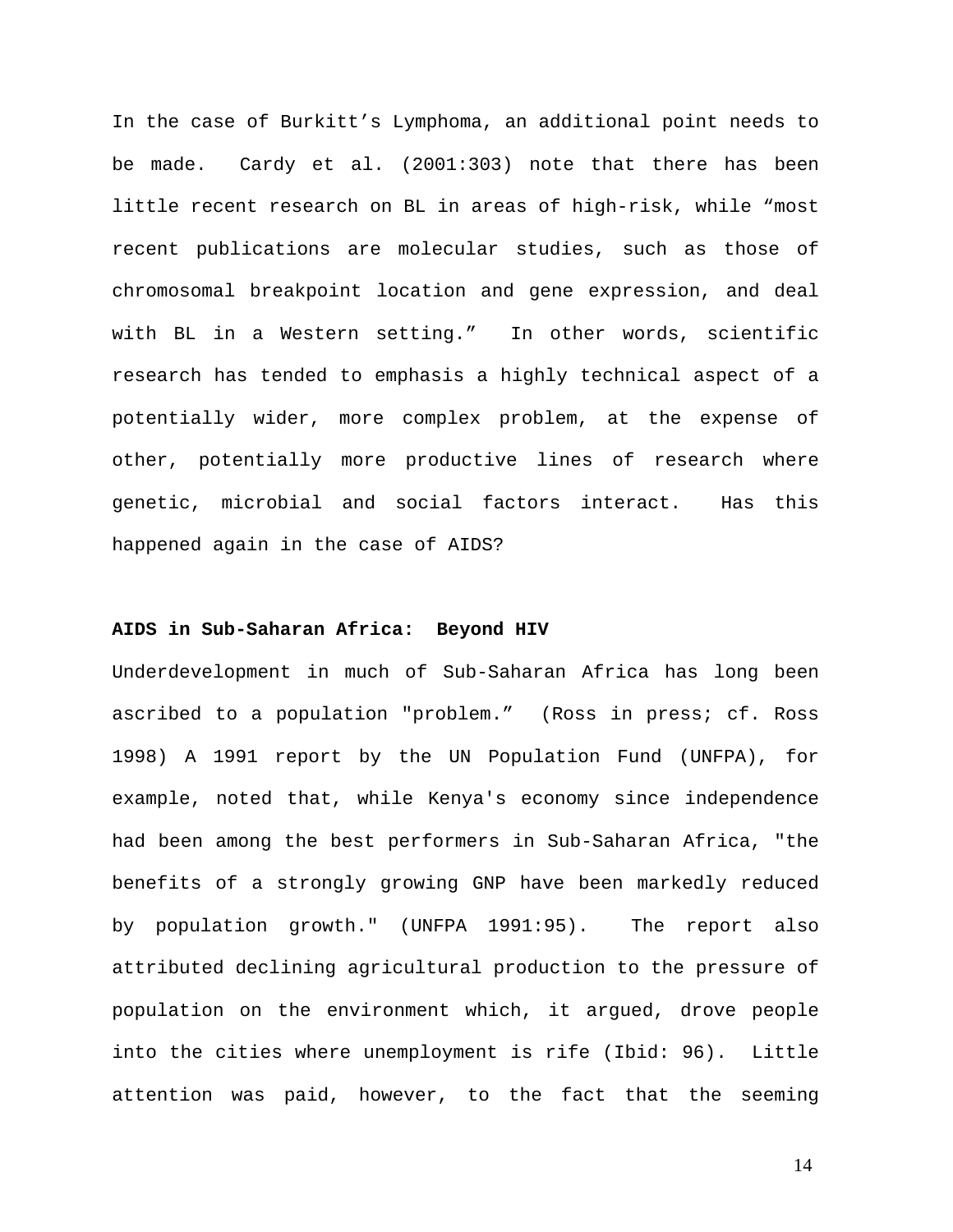In the case of Burkitt's Lymphoma, an additional point needs to be made. Cardy et al. (2001:303) note that there has been little recent research on BL in areas of high-risk, while "most recent publications are molecular studies, such as those of chromosomal breakpoint location and gene expression, and deal with BL in a Western setting." In other words, scientific research has tended to emphasis a highly technical aspect of a potentially wider, more complex problem, at the expense of other, potentially more productive lines of research where genetic, microbial and social factors interact. Has this happened again in the case of AIDS?

#### **AIDS in Sub-Saharan Africa: Beyond HIV**

Underdevelopment in much of Sub-Saharan Africa has long been ascribed to a population "problem." (Ross in press; cf. Ross 1998) A 1991 report by the UN Population Fund (UNFPA), for example, noted that, while Kenya's economy since independence had been among the best performers in Sub-Saharan Africa, "the benefits of a strongly growing GNP have been markedly reduced by population growth." (UNFPA 1991:95). The report also attributed declining agricultural production to the pressure of population on the environment which, it argued, drove people into the cities where unemployment is rife (Ibid: 96). Little attention was paid, however, to the fact that the seeming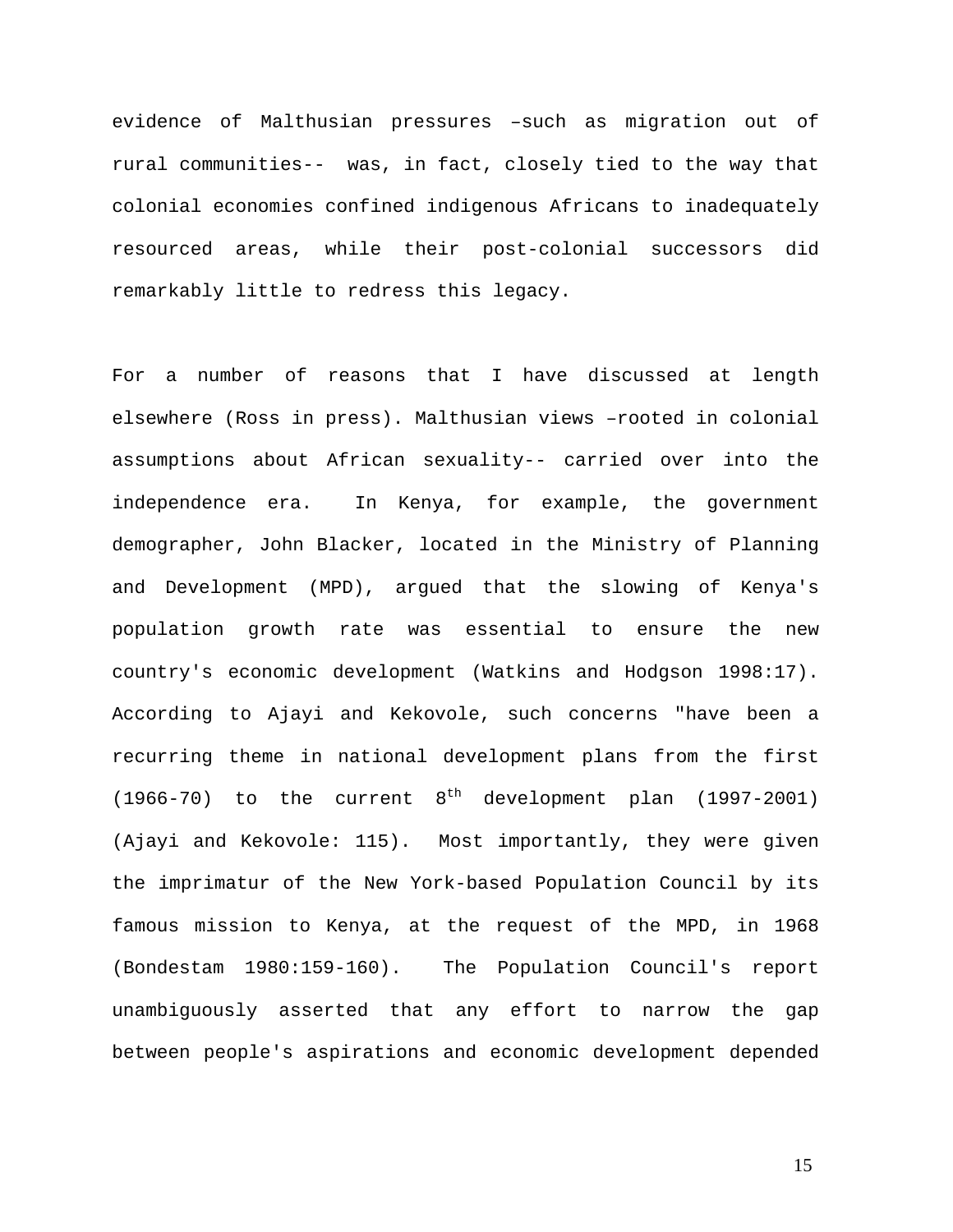evidence of Malthusian pressures –such as migration out of rural communities-- was, in fact, closely tied to the way that colonial economies confined indigenous Africans to inadequately resourced areas, while their post-colonial successors did remarkably little to redress this legacy.

For a number of reasons that I have discussed at length elsewhere (Ross in press). Malthusian views –rooted in colonial assumptions about African sexuality-- carried over into the independence era. In Kenya, for example, the government demographer, John Blacker, located in the Ministry of Planning and Development (MPD), argued that the slowing of Kenya's population growth rate was essential to ensure the new country's economic development (Watkins and Hodgson 1998:17). According to Ajayi and Kekovole, such concerns "have been a recurring theme in national development plans from the first (1966-70) to the current  $8<sup>th</sup>$  development plan (1997-2001) (Ajayi and Kekovole: 115). Most importantly, they were given the imprimatur of the New York-based Population Council by its famous mission to Kenya, at the request of the MPD, in 1968 (Bondestam 1980:159-160). The Population Council's report unambiguously asserted that any effort to narrow the gap between people's aspirations and economic development depended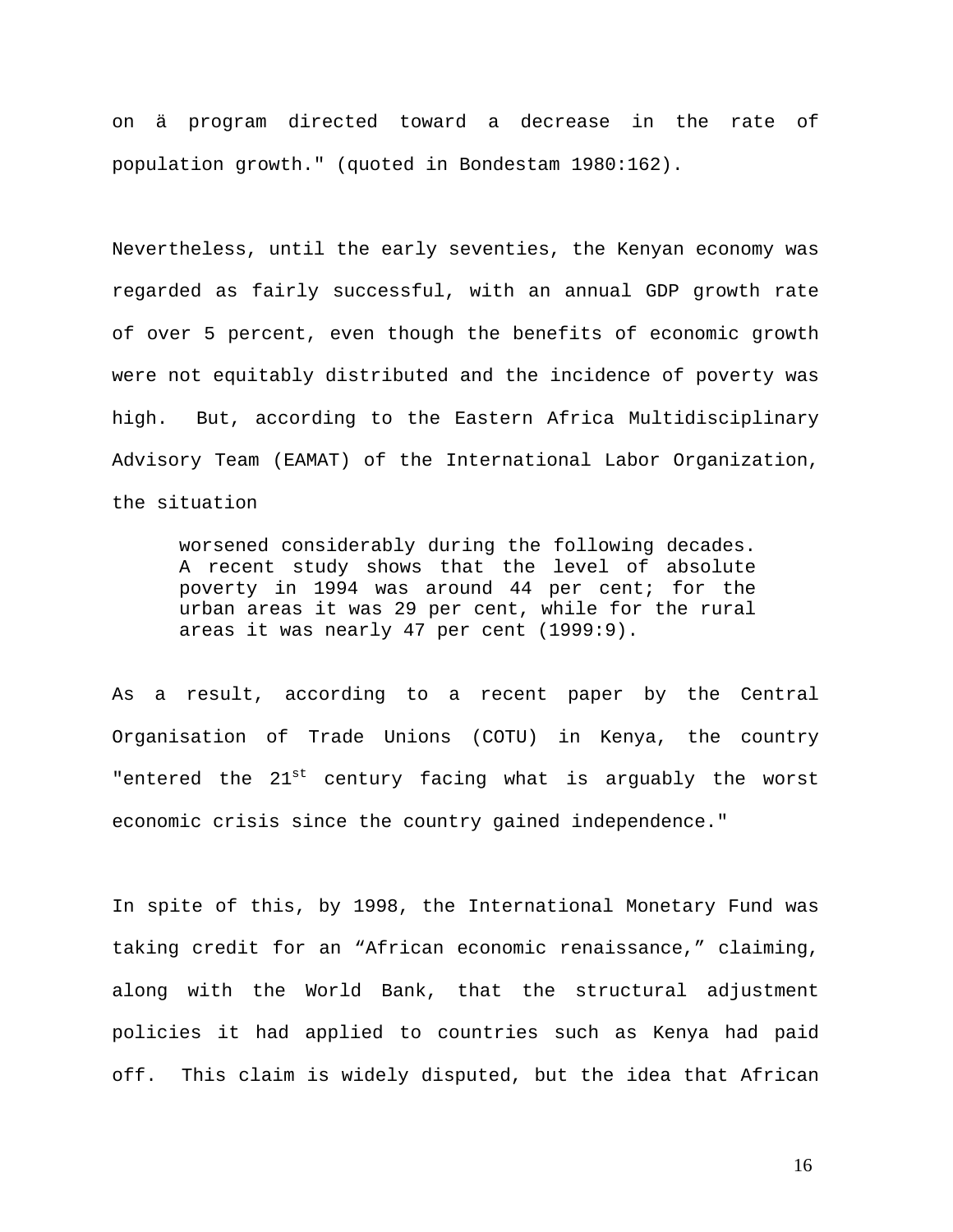on ä program directed toward a decrease in the rate of population growth." (quoted in Bondestam 1980:162).

Nevertheless, until the early seventies, the Kenyan economy was regarded as fairly successful, with an annual GDP growth rate of over 5 percent, even though the benefits of economic growth were not equitably distributed and the incidence of poverty was high. But, according to the Eastern Africa Multidisciplinary Advisory Team (EAMAT) of the International Labor Organization, the situation

worsened considerably during the following decades. A recent study shows that the level of absolute poverty in 1994 was around 44 per cent; for the urban areas it was 29 per cent, while for the rural areas it was nearly 47 per cent (1999:9).

As a result, according to a recent paper by the Central Organisation of Trade Unions (COTU) in Kenya, the country "entered the  $21^{st}$  century facing what is arguably the worst economic crisis since the country gained independence."

In spite of this, by 1998, the International Monetary Fund was taking credit for an "African economic renaissance," claiming, along with the World Bank, that the structural adjustment policies it had applied to countries such as Kenya had paid off. This claim is widely disputed, but the idea that African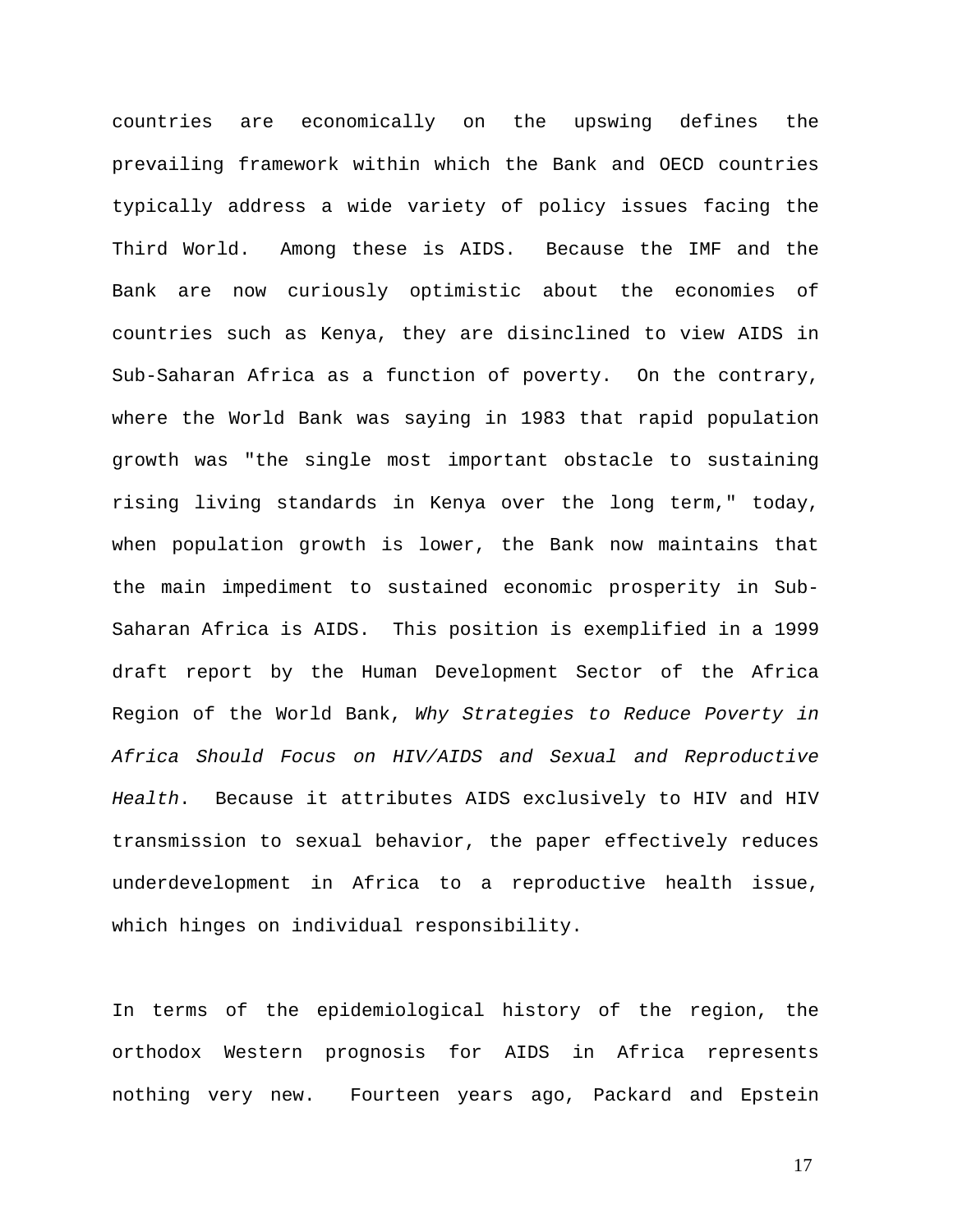countries are economically on the upswing defines the prevailing framework within which the Bank and OECD countries typically address a wide variety of policy issues facing the Third World. Among these is AIDS. Because the IMF and the Bank are now curiously optimistic about the economies of countries such as Kenya, they are disinclined to view AIDS in Sub-Saharan Africa as a function of poverty. On the contrary, where the World Bank was saying in 1983 that rapid population growth was "the single most important obstacle to sustaining rising living standards in Kenya over the long term," today, when population growth is lower, the Bank now maintains that the main impediment to sustained economic prosperity in Sub-Saharan Africa is AIDS. This position is exemplified in a 1999 draft report by the Human Development Sector of the Africa Region of the World Bank, *Why Strategies to Reduce Poverty in Africa Should Focus on HIV/AIDS and Sexual and Reproductive Health*. Because it attributes AIDS exclusively to HIV and HIV transmission to sexual behavior, the paper effectively reduces underdevelopment in Africa to a reproductive health issue, which hinges on individual responsibility.

In terms of the epidemiological history of the region, the orthodox Western prognosis for AIDS in Africa represents nothing very new. Fourteen years ago, Packard and Epstein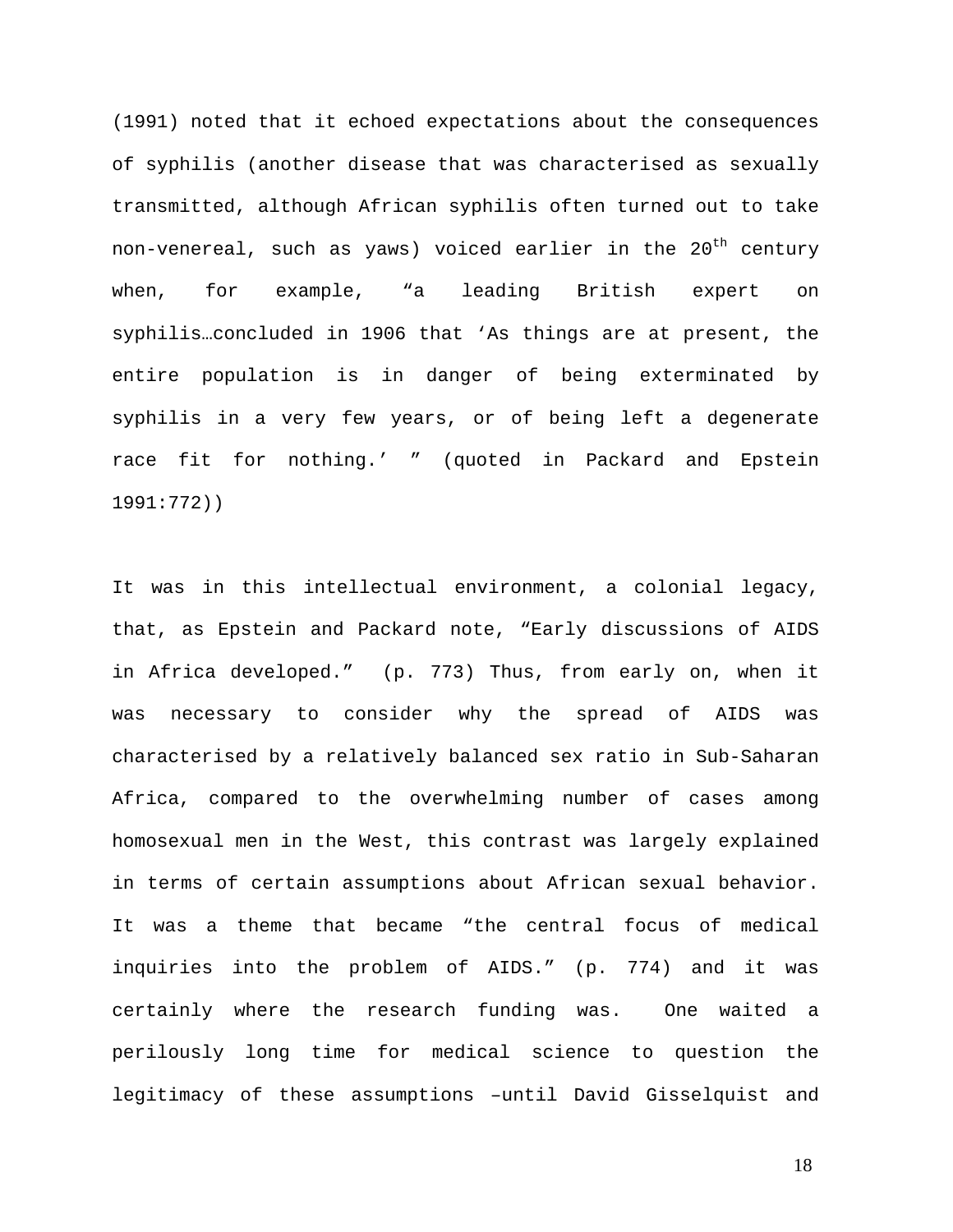(1991) noted that it echoed expectations about the consequences of syphilis (another disease that was characterised as sexually transmitted, although African syphilis often turned out to take non-venereal, such as yaws) voiced earlier in the  $20^{th}$  century when, for example, "a leading British expert on syphilis…concluded in 1906 that 'As things are at present, the entire population is in danger of being exterminated by syphilis in a very few years, or of being left a degenerate race fit for nothing.' " (quoted in Packard and Epstein 1991:772))

It was in this intellectual environment, a colonial legacy, that, as Epstein and Packard note, "Early discussions of AIDS in Africa developed." (p. 773) Thus, from early on, when it was necessary to consider why the spread of AIDS was characterised by a relatively balanced sex ratio in Sub-Saharan Africa, compared to the overwhelming number of cases among homosexual men in the West, this contrast was largely explained in terms of certain assumptions about African sexual behavior. It was a theme that became "the central focus of medical inquiries into the problem of AIDS." (p. 774) and it was certainly where the research funding was. One waited a perilously long time for medical science to question the legitimacy of these assumptions –until David Gisselquist and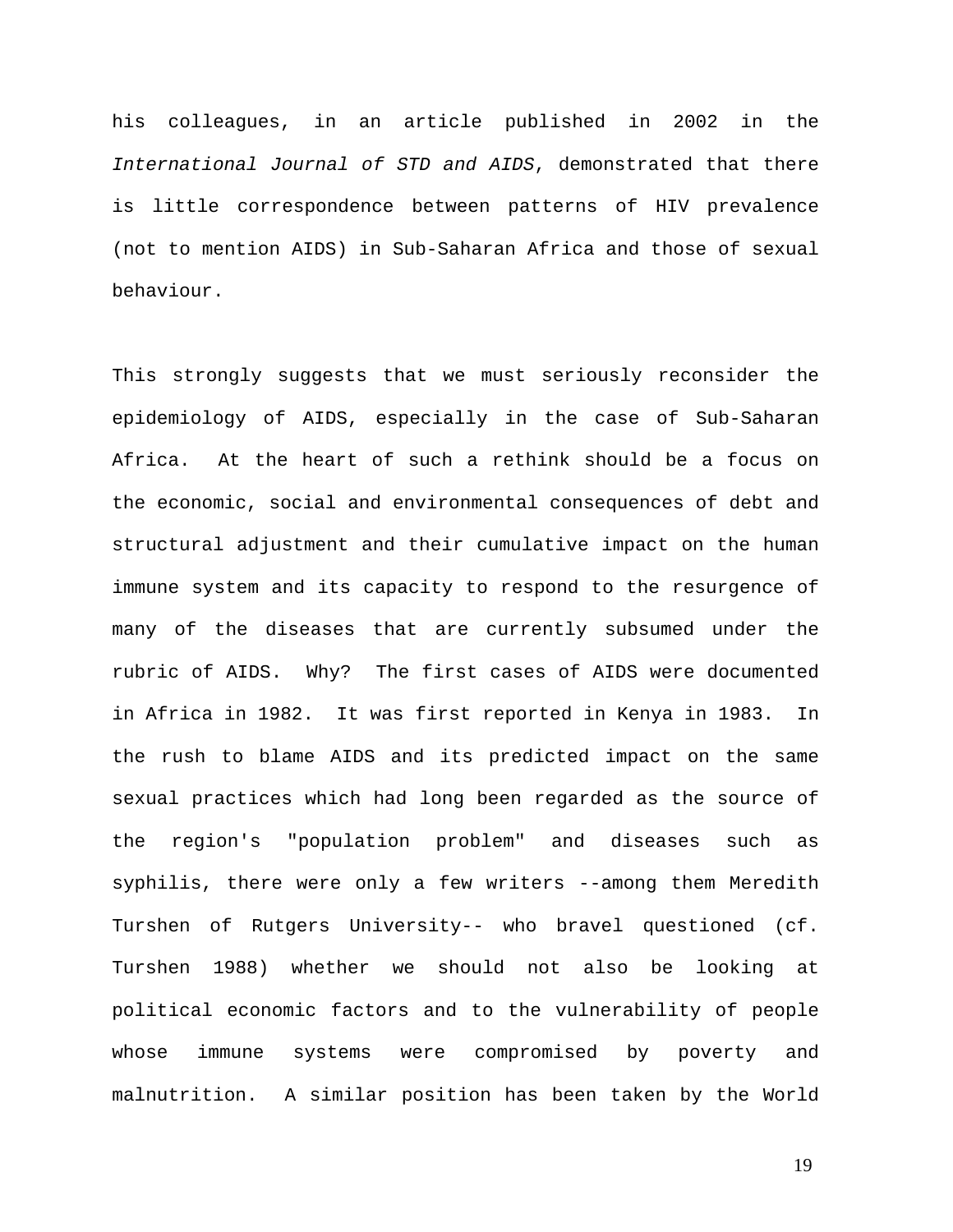his colleagues, in an article published in 2002 in the *International Journal of STD and AIDS*, demonstrated that there is little correspondence between patterns of HIV prevalence (not to mention AIDS) in Sub-Saharan Africa and those of sexual behaviour.

This strongly suggests that we must seriously reconsider the epidemiology of AIDS, especially in the case of Sub-Saharan Africa. At the heart of such a rethink should be a focus on the economic, social and environmental consequences of debt and structural adjustment and their cumulative impact on the human immune system and its capacity to respond to the resurgence of many of the diseases that are currently subsumed under the rubric of AIDS. Why? The first cases of AIDS were documented in Africa in 1982. It was first reported in Kenya in 1983. In the rush to blame AIDS and its predicted impact on the same sexual practices which had long been regarded as the source of the region's "population problem" and diseases such as syphilis, there were only a few writers --among them Meredith Turshen of Rutgers University-- who bravel questioned (cf. Turshen 1988) whether we should not also be looking at political economic factors and to the vulnerability of people whose immune systems were compromised by poverty and malnutrition. A similar position has been taken by the World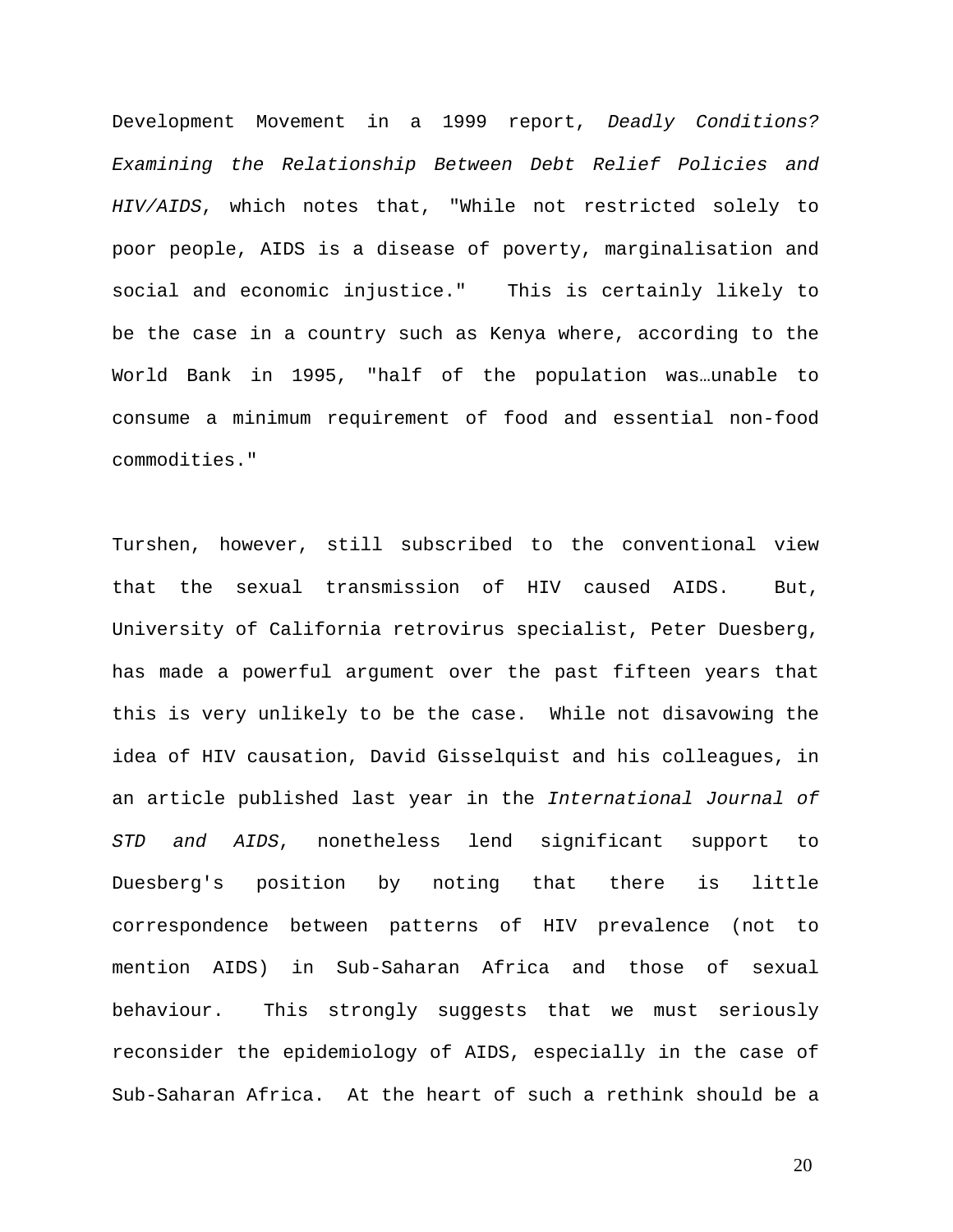Development Movement in a 1999 report, *Deadly Conditions? Examining the Relationship Between Debt Relief Policies and HIV/AIDS*, which notes that, "While not restricted solely to poor people, AIDS is a disease of poverty, marginalisation and social and economic injustice." This is certainly likely to be the case in a country such as Kenya where, according to the World Bank in 1995, "half of the population was…unable to consume a minimum requirement of food and essential non-food commodities."

Turshen, however, still subscribed to the conventional view that the sexual transmission of HIV caused AIDS. But, University of California retrovirus specialist, Peter Duesberg, has made a powerful argument over the past fifteen years that this is very unlikely to be the case. While not disavowing the idea of HIV causation, David Gisselquist and his colleagues, in an article published last year in the *International Journal of STD and AIDS*, nonetheless lend significant support to Duesberg's position by noting that there is little correspondence between patterns of HIV prevalence (not to mention AIDS) in Sub-Saharan Africa and those of sexual behaviour. This strongly suggests that we must seriously reconsider the epidemiology of AIDS, especially in the case of Sub-Saharan Africa. At the heart of such a rethink should be a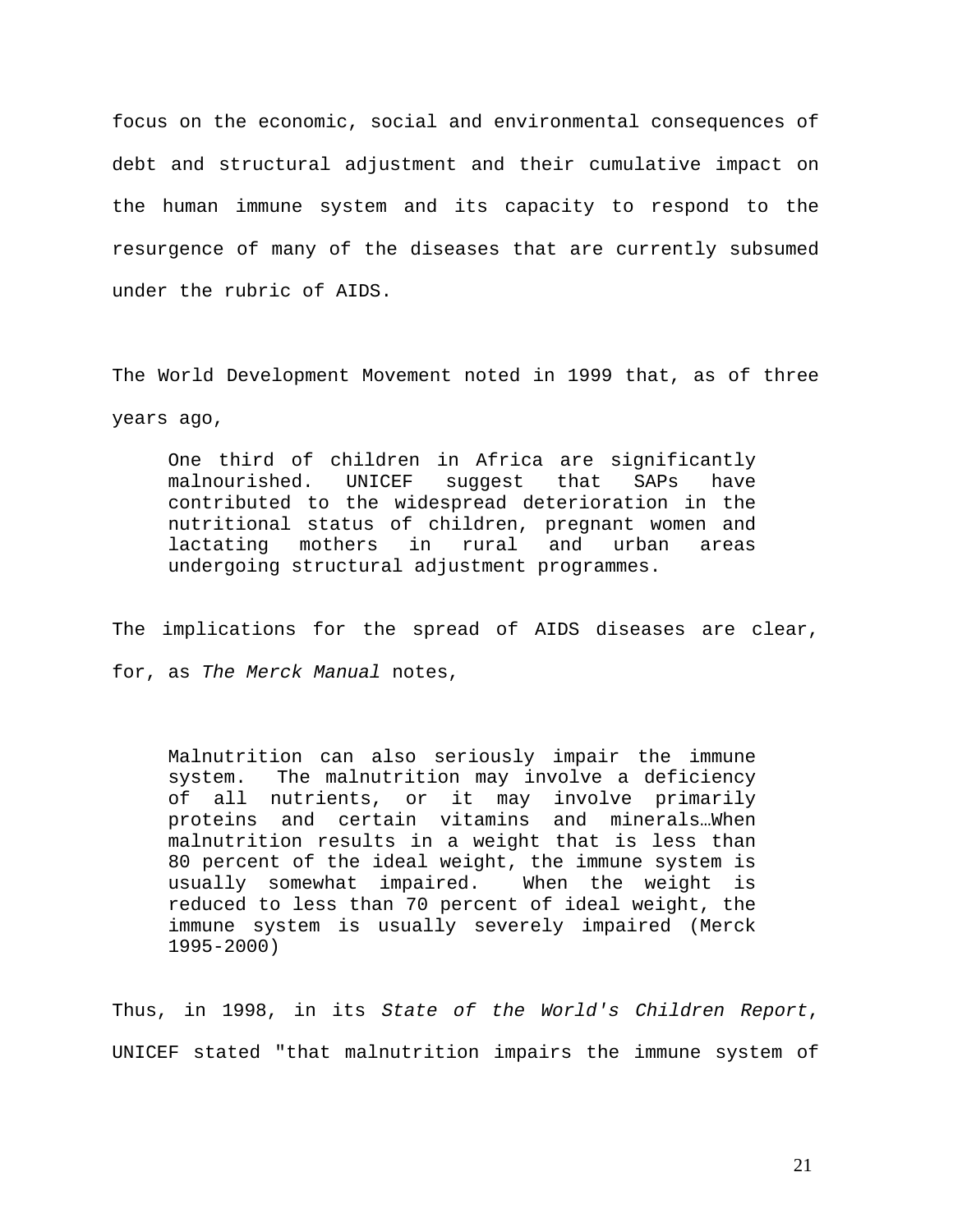focus on the economic, social and environmental consequences of debt and structural adjustment and their cumulative impact on the human immune system and its capacity to respond to the resurgence of many of the diseases that are currently subsumed under the rubric of AIDS.

The World Development Movement noted in 1999 that, as of three years ago,

One third of children in Africa are significantly malnourished. UNICEF suggest that SAPs have contributed to the widespread deterioration in the nutritional status of children, pregnant women and lactating mothers in rural and urban areas undergoing structural adjustment programmes.

The implications for the spread of AIDS diseases are clear, for, as *The Merck Manual* notes,

Malnutrition can also seriously impair the immune system. The malnutrition may involve a deficiency of all nutrients, or it may involve primarily proteins and certain vitamins and minerals…When malnutrition results in a weight that is less than 80 percent of the ideal weight, the immune system is usually somewhat impaired. When the weight is reduced to less than 70 percent of ideal weight, the immune system is usually severely impaired (Merck 1995-2000)

Thus, in 1998, in its *State of the World's Children Report*, UNICEF stated "that malnutrition impairs the immune system of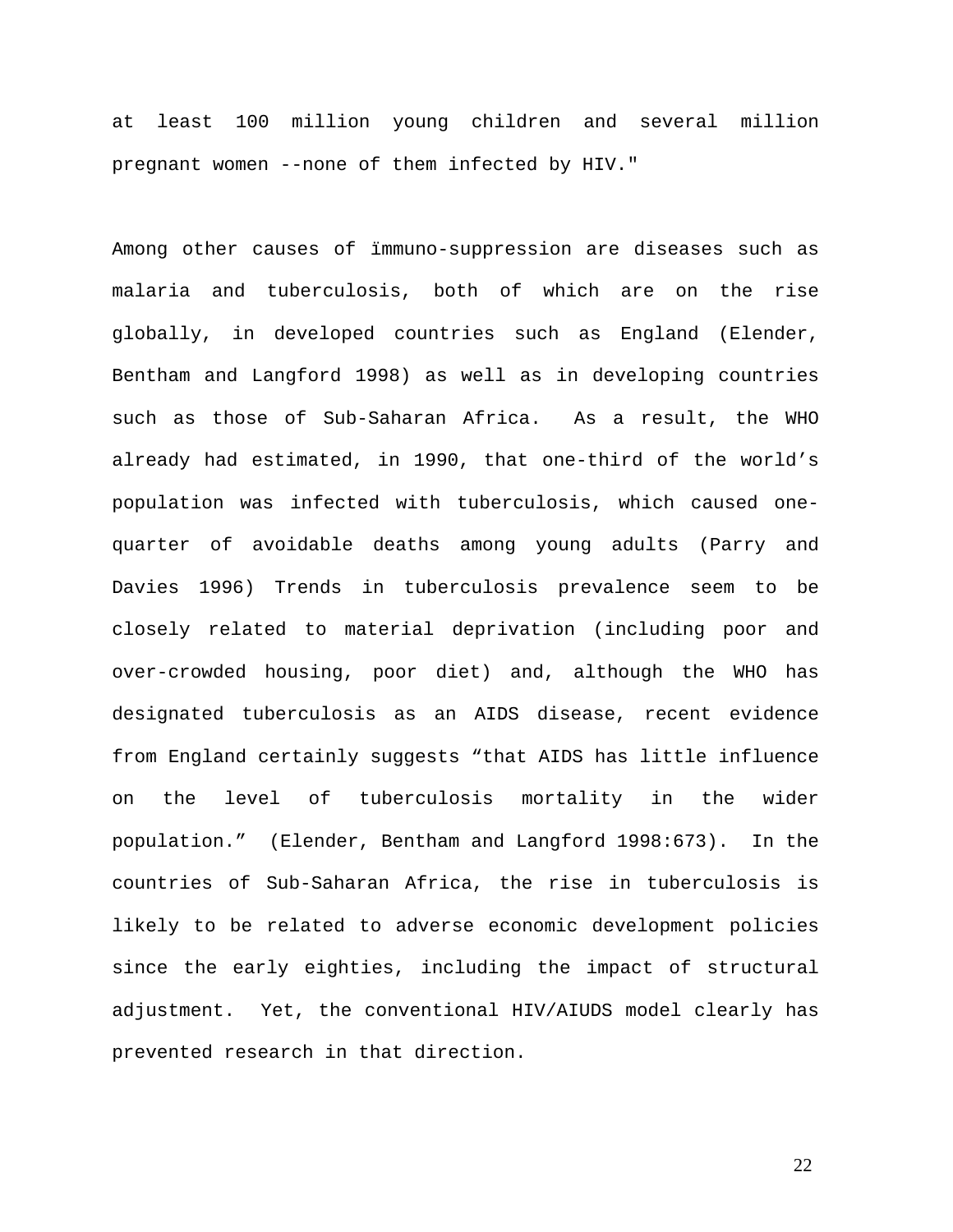at least 100 million young children and several million pregnant women --none of them infected by HIV."

Among other causes of ïmmuno-suppression are diseases such as malaria and tuberculosis, both of which are on the rise globally, in developed countries such as England (Elender, Bentham and Langford 1998) as well as in developing countries such as those of Sub-Saharan Africa. As a result, the WHO already had estimated, in 1990, that one-third of the world's population was infected with tuberculosis, which caused onequarter of avoidable deaths among young adults (Parry and Davies 1996) Trends in tuberculosis prevalence seem to be closely related to material deprivation (including poor and over-crowded housing, poor diet) and, although the WHO has designated tuberculosis as an AIDS disease, recent evidence from England certainly suggests "that AIDS has little influence on the level of tuberculosis mortality in the wider population." (Elender, Bentham and Langford 1998:673). In the countries of Sub-Saharan Africa, the rise in tuberculosis is likely to be related to adverse economic development policies since the early eighties, including the impact of structural adjustment. Yet, the conventional HIV/AIUDS model clearly has prevented research in that direction.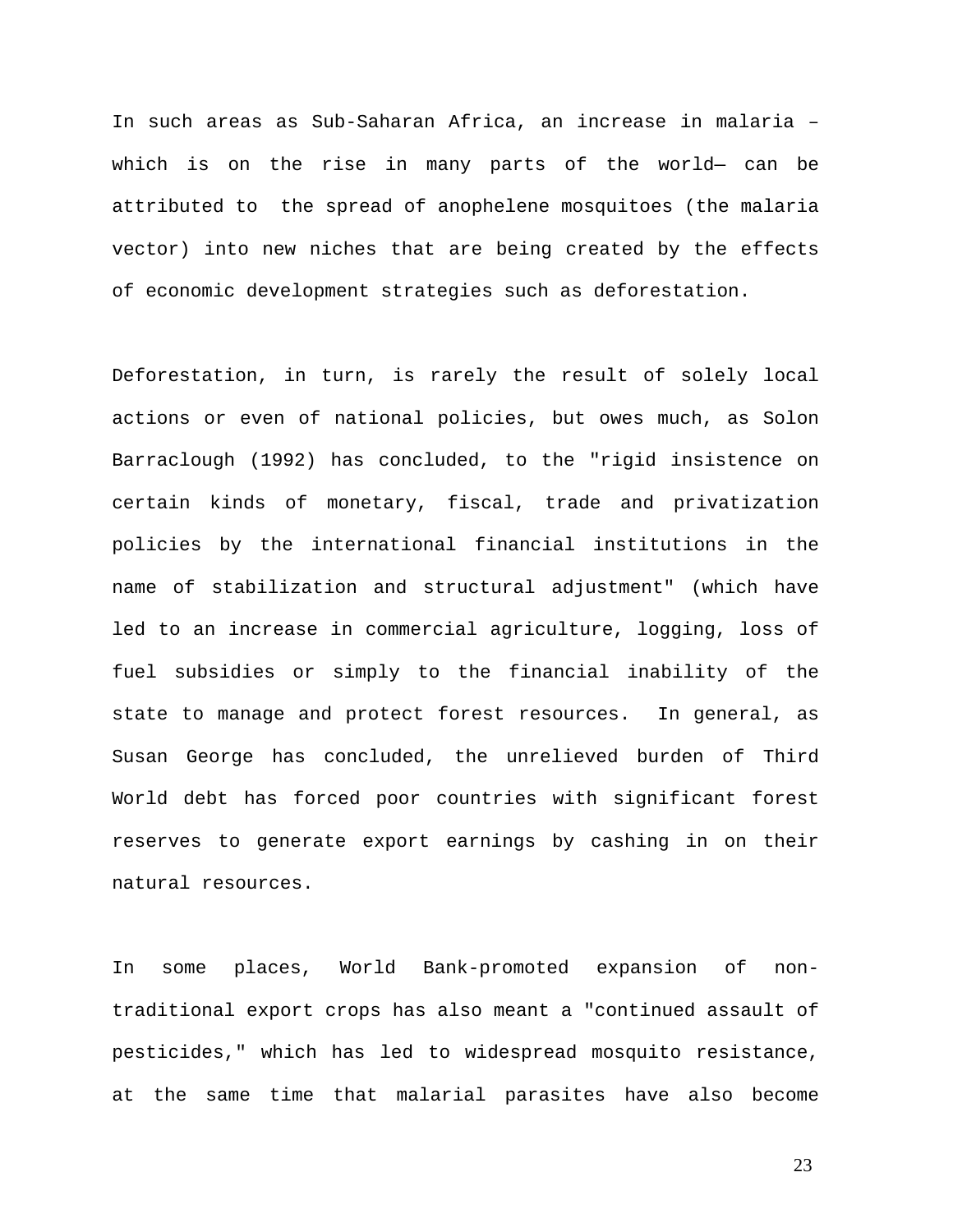In such areas as Sub-Saharan Africa, an increase in malaria – which is on the rise in many parts of the world— can be attributed to the spread of anophelene mosquitoes (the malaria vector) into new niches that are being created by the effects of economic development strategies such as deforestation.

Deforestation, in turn, is rarely the result of solely local actions or even of national policies, but owes much, as Solon Barraclough (1992) has concluded, to the "rigid insistence on certain kinds of monetary, fiscal, trade and privatization policies by the international financial institutions in the name of stabilization and structural adjustment" (which have led to an increase in commercial agriculture, logging, loss of fuel subsidies or simply to the financial inability of the state to manage and protect forest resources. In general, as Susan George has concluded, the unrelieved burden of Third World debt has forced poor countries with significant forest reserves to generate export earnings by cashing in on their natural resources.

In some places, World Bank-promoted expansion of nontraditional export crops has also meant a "continued assault of pesticides," which has led to widespread mosquito resistance, at the same time that malarial parasites have also become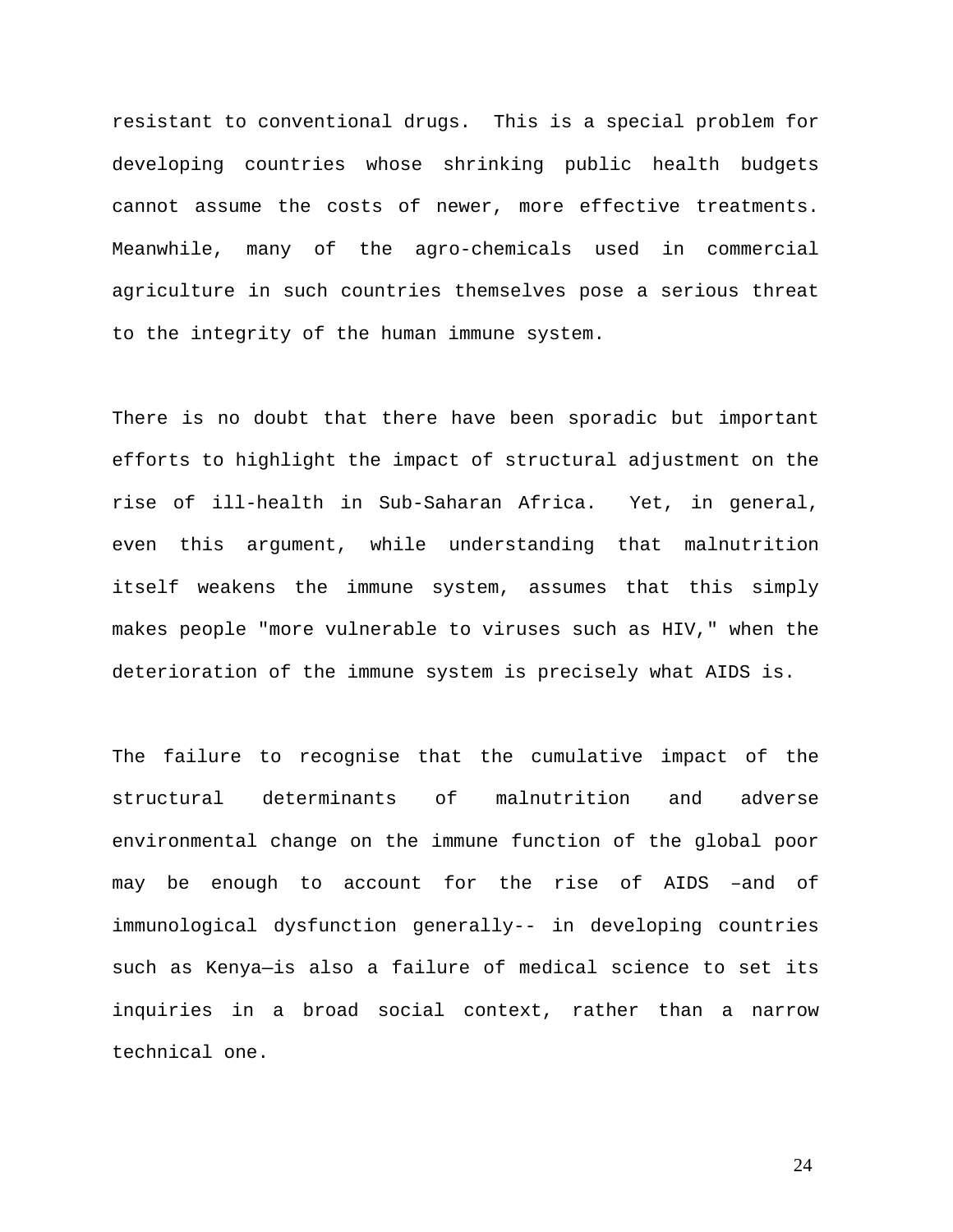resistant to conventional drugs. This is a special problem for developing countries whose shrinking public health budgets cannot assume the costs of newer, more effective treatments. Meanwhile, many of the agro-chemicals used in commercial agriculture in such countries themselves pose a serious threat to the integrity of the human immune system.

There is no doubt that there have been sporadic but important efforts to highlight the impact of structural adjustment on the rise of ill-health in Sub-Saharan Africa. Yet, in general, even this argument, while understanding that malnutrition itself weakens the immune system, assumes that this simply makes people "more vulnerable to viruses such as HIV," when the deterioration of the immune system is precisely what AIDS is.

The failure to recognise that the cumulative impact of the structural determinants of malnutrition and adverse environmental change on the immune function of the global poor may be enough to account for the rise of AIDS –and of immunological dysfunction generally-- in developing countries such as Kenya—is also a failure of medical science to set its inquiries in a broad social context, rather than a narrow technical one.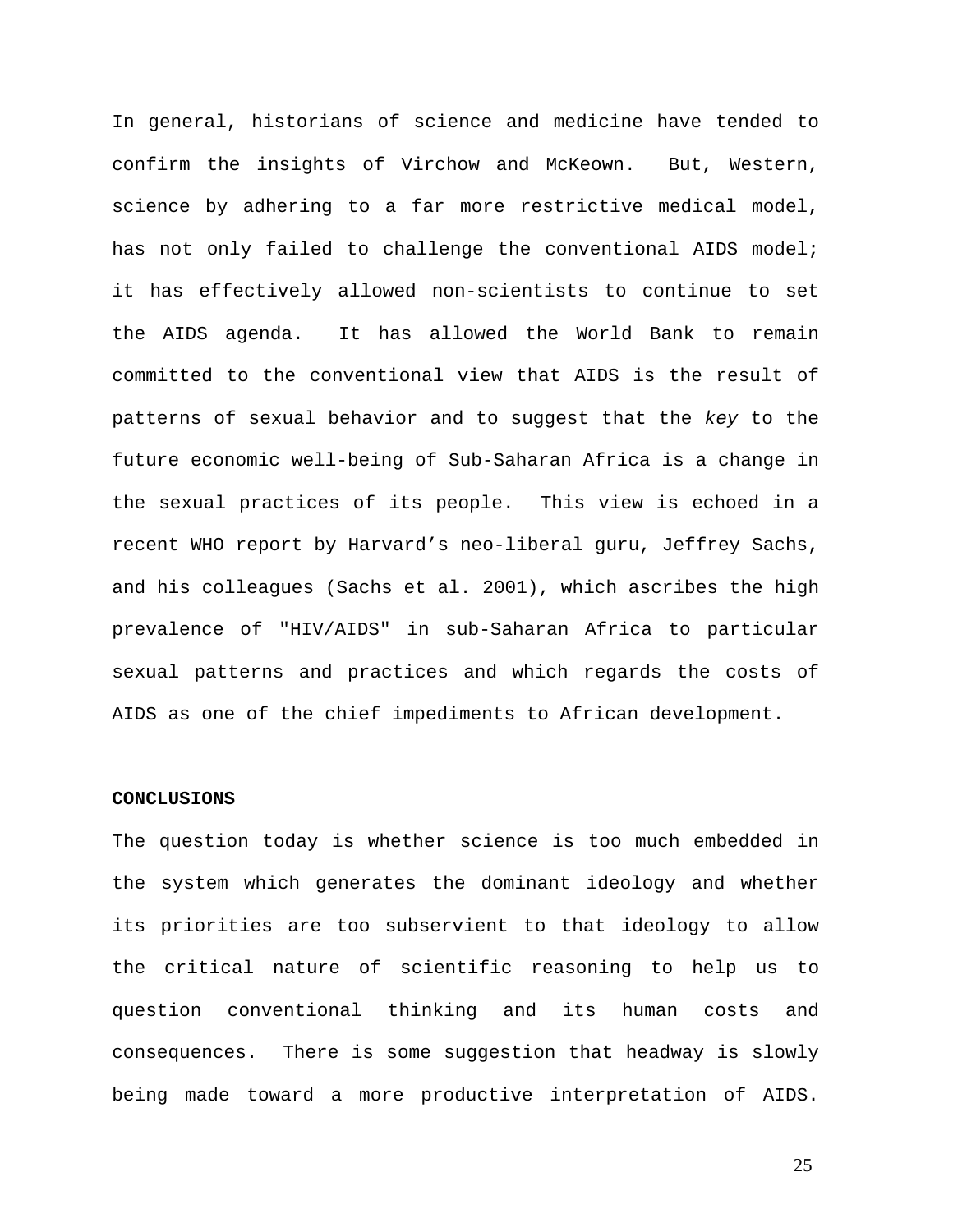In general, historians of science and medicine have tended to confirm the insights of Virchow and McKeown. But, Western, science by adhering to a far more restrictive medical model, has not only failed to challenge the conventional AIDS model; it has effectively allowed non-scientists to continue to set the AIDS agenda. It has allowed the World Bank to remain committed to the conventional view that AIDS is the result of patterns of sexual behavior and to suggest that the *key* to the future economic well-being of Sub-Saharan Africa is a change in the sexual practices of its people. This view is echoed in a recent WHO report by Harvard's neo-liberal guru, Jeffrey Sachs, and his colleagues (Sachs et al. 2001), which ascribes the high prevalence of "HIV/AIDS" in sub-Saharan Africa to particular sexual patterns and practices and which regards the costs of AIDS as one of the chief impediments to African development.

## **CONCLUSIONS**

The question today is whether science is too much embedded in the system which generates the dominant ideology and whether its priorities are too subservient to that ideology to allow the critical nature of scientific reasoning to help us to question conventional thinking and its human costs and consequences. There is some suggestion that headway is slowly being made toward a more productive interpretation of AIDS.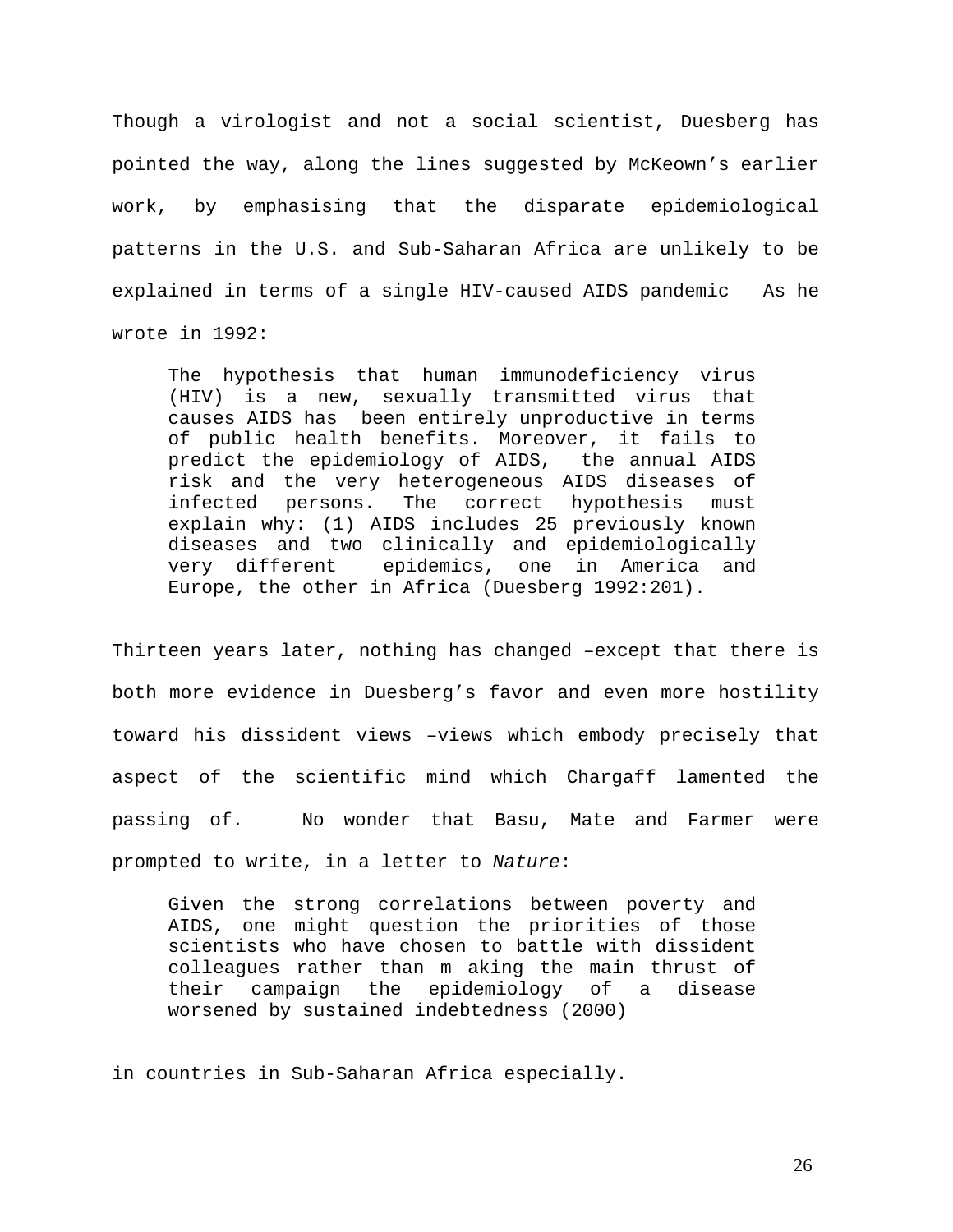Though a virologist and not a social scientist, Duesberg has pointed the way, along the lines suggested by McKeown's earlier work, by emphasising that the disparate epidemiological patterns in the U.S. and Sub-Saharan Africa are unlikely to be explained in terms of a single HIV-caused AIDS pandemic As he wrote in 1992:

The hypothesis that human immunodeficiency virus (HIV) is a new, sexually transmitted virus that causes AIDS has been entirely unproductive in terms of public health benefits. Moreover, it fails to predict the epidemiology of AIDS, the annual AIDS risk and the very heterogeneous AIDS diseases of infected persons. The correct hypothesis must explain why: (1) AIDS includes 25 previously known diseases and two clinically and epidemiologically very different epidemics, one in America and Europe, the other in Africa (Duesberg 1992:201).

Thirteen years later, nothing has changed –except that there is both more evidence in Duesberg's favor and even more hostility toward his dissident views –views which embody precisely that aspect of the scientific mind which Chargaff lamented the passing of. No wonder that Basu, Mate and Farmer were prompted to write, in a letter to *Nature*:

Given the strong correlations between poverty and AIDS, one might question the priorities of those scientists who have chosen to battle with dissident colleagues rather than m aking the main thrust of their campaign the epidemiology of a disease worsened by sustained indebtedness (2000)

in countries in Sub-Saharan Africa especially.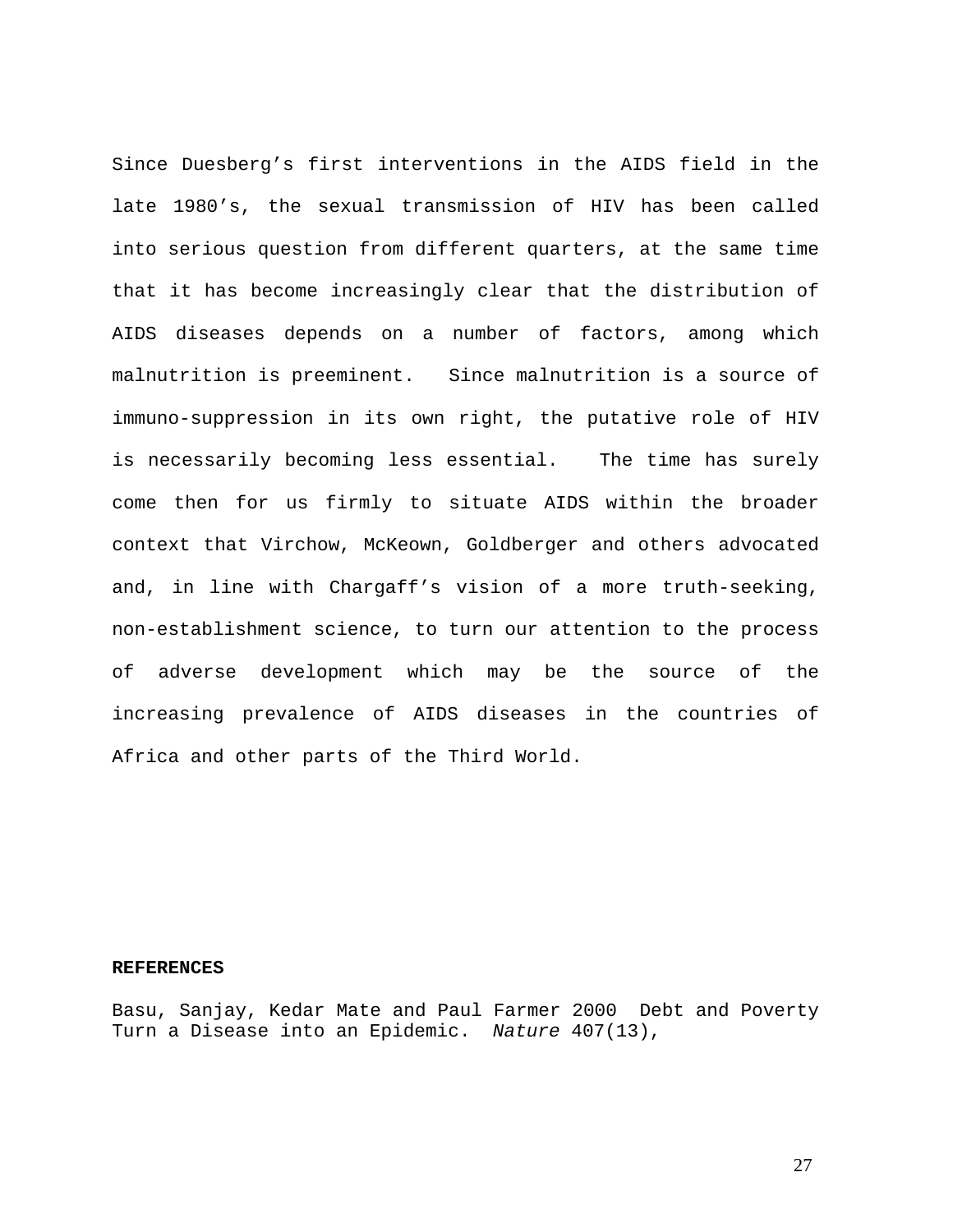Since Duesberg's first interventions in the AIDS field in the late 1980's, the sexual transmission of HIV has been called into serious question from different quarters, at the same time that it has become increasingly clear that the distribution of AIDS diseases depends on a number of factors, among which malnutrition is preeminent. Since malnutrition is a source of immuno-suppression in its own right, the putative role of HIV is necessarily becoming less essential. The time has surely come then for us firmly to situate AIDS within the broader context that Virchow, McKeown, Goldberger and others advocated and, in line with Chargaff's vision of a more truth-seeking, non-establishment science, to turn our attention to the process of adverse development which may be the source of the increasing prevalence of AIDS diseases in the countries of Africa and other parts of the Third World.

## **REFERENCES**

Basu, Sanjay, Kedar Mate and Paul Farmer 2000 Debt and Poverty Turn a Disease into an Epidemic. *Nature* 407(13),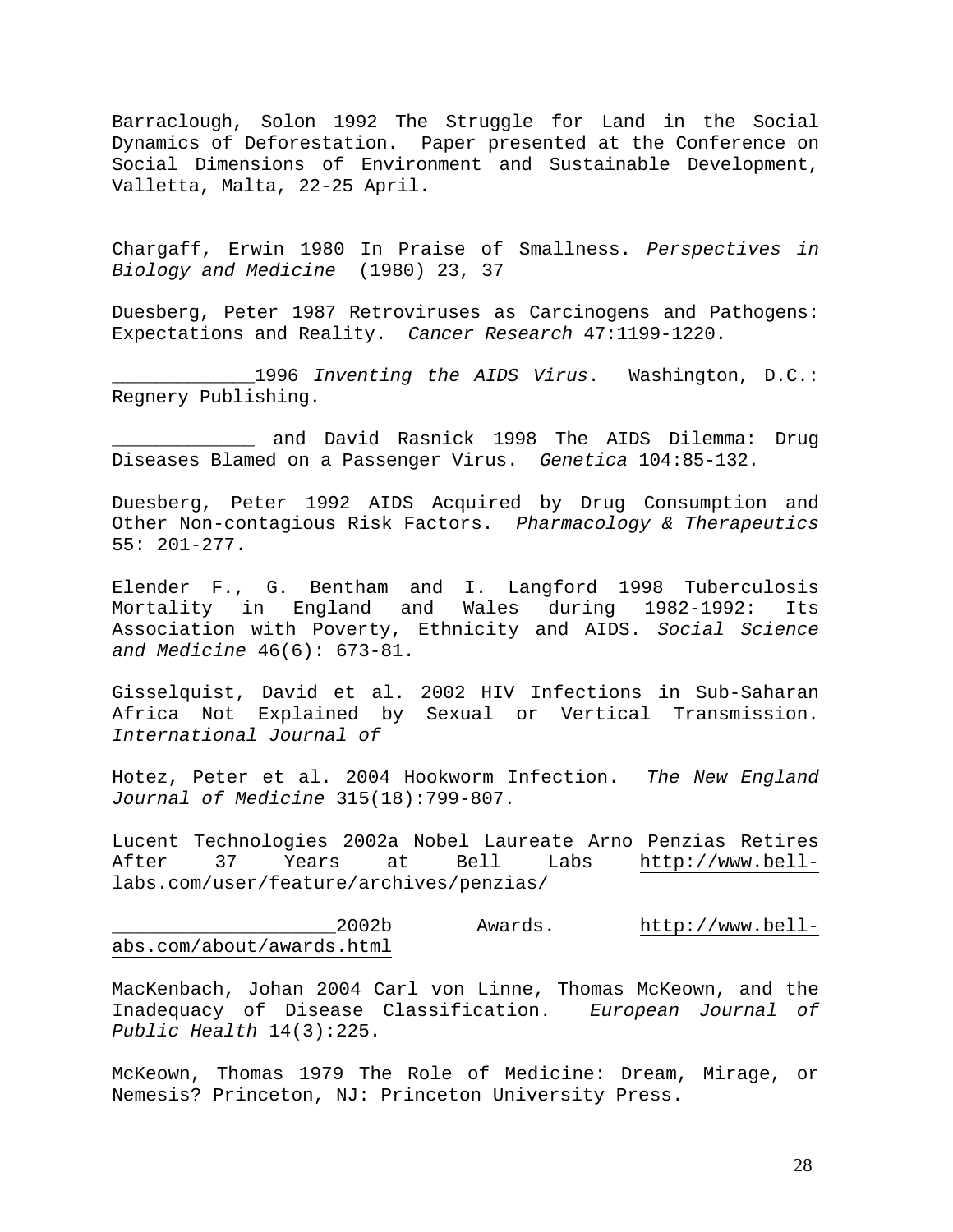Barraclough, Solon 1992 The Struggle for Land in the Social Dynamics of Deforestation. Paper presented at the Conference on Social Dimensions of Environment and Sustainable Development, Valletta, Malta, 22-25 April.

Chargaff, Erwin 1980 In Praise of Smallness. *Perspectives in Biology and Medicine* (1980) 23, 37

Duesberg, Peter 1987 Retroviruses as Carcinogens and Pathogens: Expectations and Reality. *Cancer Research* 47:1199-1220.

\_\_\_\_\_\_\_\_\_\_\_\_\_1996 *Inventing the AIDS Virus*. Washington, D.C.: Regnery Publishing.

\_\_\_\_\_\_\_\_\_\_\_\_\_ and David Rasnick 1998 The AIDS Dilemma: Drug Diseases Blamed on a Passenger Virus. *Genetica* 104:85-132.

Duesberg, Peter 1992 AIDS Acquired by Drug Consumption and Other Non-contagious Risk Factors. *Pharmacology & Therapeutics* 55: 201-277.

Elender F., G. Bentham and I. Langford 1998 Tuberculosis Mortality in England and Wales during 1982-1992: Its Association with Poverty, Ethnicity and AIDS. *Social Science and Medicine* 46(6): 673-81.

Gisselquist, David et al. 2002 HIV Infections in Sub-Saharan Africa Not Explained by Sexual or Vertical Transmission. *International Journal of* 

Hotez, Peter et al. 2004 Hookworm Infection. *The New England Journal of Medicine* 315(18):799-807.

Lucent Technologies 2002a Nobel Laureate Arno Penzias Retires After 37 Years at Bell Labs [http://www.bell](http://www.bell-labs.com/user/feature/archives/penzias/)[labs.com/user/feature/archives/penzias/](http://www.bell-labs.com/user/feature/archives/penzias/)

\_\_\_\_\_\_\_\_\_\_\_\_\_\_\_\_\_\_\_\_2002b Awards. [http://www.bell](http://www.bell-labs.com/about/awards.html)[abs.com/about/awards.html](http://www.bell-labs.com/about/awards.html)

MacKenbach, Johan 2004 Carl von Linne, Thomas McKeown, and the Inadequacy of Disease Classification. *European Journal of Public Health* 14(3):225.

McKeown, Thomas 1979 The Role of Medicine: Dream, Mirage, or Nemesis? Princeton, NJ: Princeton University Press.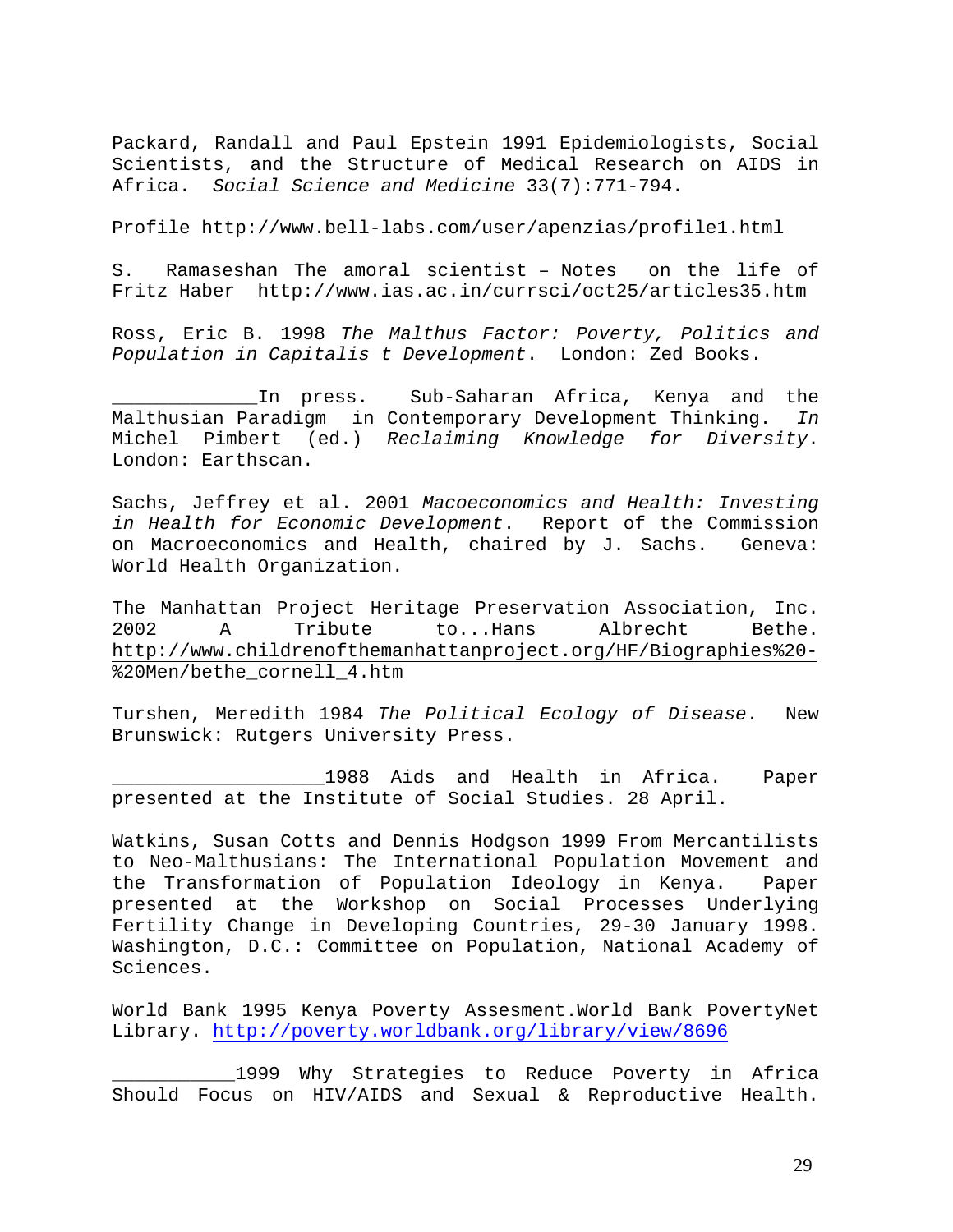Packard, Randall and Paul Epstein 1991 Epidemiologists, Social Scientists, and the Structure of Medical Research on AIDS in Africa. *Social Science and Medicine* 33(7):771-794.

Profile http://www.bell-labs.com/user/apenzias/profile1.html

S. Ramaseshan The amoral scientist – Notes on the life of Fritz Haber http://www.ias.ac.in/currsci/oct25/articles35.htm

Ross, Eric B. 1998 *The Malthus Factor: Poverty, Politics and Population in Capitalis t Development*. London: Zed Books.

In press. Sub-Saharan Africa, Kenya and the Malthusian Paradigm in Contemporary Development Thinking. *In* Michel Pimbert (ed.) *Reclaiming Knowledge for Diversity*. London: Earthscan.

Sachs, Jeffrey et al. 2001 *Macoeconomics and Health: Investing in Health for Economic Development*. Report of the Commission on Macroeconomics and Health, chaired by J. Sachs. Geneva: World Health Organization.

The Manhattan Project Heritage Preservation Association, Inc. 2002 A Tribute to...Hans Albrecht Bethe. [http://www.childrenofthemanhattanproject.org/HF/Biographies%20-](http://www.childrenofthemanhattanproject.org/HF/Biographies%20-%20Men/bethe_cornell_4.htm) [%20Men/bethe\\_cornell\\_4.htm](http://www.childrenofthemanhattanproject.org/HF/Biographies%20-%20Men/bethe_cornell_4.htm)

Turshen, Meredith 1984 *The Political Ecology of Disease*. New Brunswick: Rutgers University Press.

\_\_\_\_\_\_\_\_\_\_\_\_\_\_\_\_\_\_\_1988 Aids and Health in Africa. Paper presented at the Institute of Social Studies. 28 April.

Watkins, Susan Cotts and Dennis Hodgson 1999 From Mercantilists to Neo-Malthusians: The International Population Movement and the Transformation of Population Ideology in Kenya. Paper presented at the Workshop on Social Processes Underlying Fertility Change in Developing Countries, 29-30 January 1998. Washington, D.C.: Committee on Population, National Academy of Sciences.

World Bank 1995 Kenya Poverty Assesment.World Bank PovertyNet Library. <http://poverty.worldbank.org/library/view/8696>

\_\_\_\_\_\_\_\_\_\_\_1999 Why Strategies to Reduce Poverty in Africa Should Focus on HIV/AIDS and Sexual & Reproductive Health.